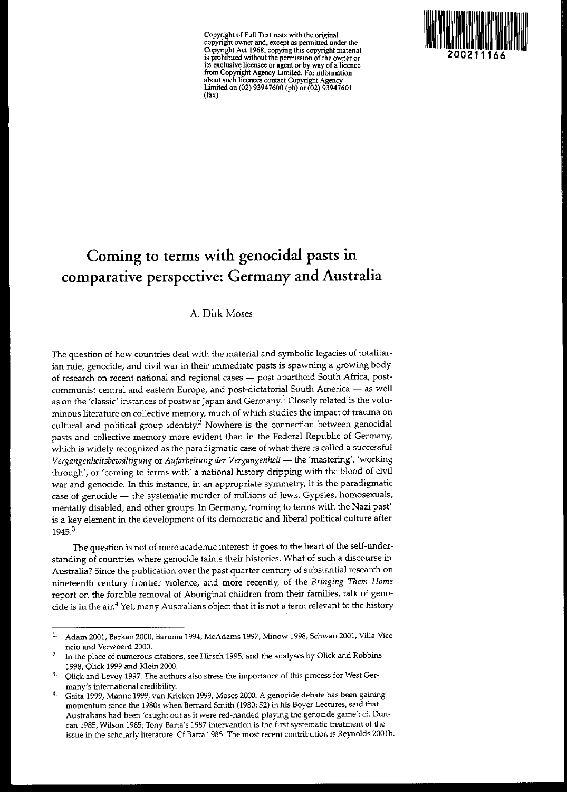Copyright of Full Text rests with the original copyright owner and, except as pennitted under the Copyright Act 1968, copying this copyright material is prohibited without the permission of the owner or its exclusive licensee or agent or by way of a licence from Copyright Agency Limited. For information about such licences contact Copyright Agency Limited on (02) 93947600 (ph) or (02) 93947601 (fax)



# Coming to terms with genocidal pasts in comparative perspective: Germany and Australia

### A. Dirk Moses

The question of how countries deal with the material and symbolic legacies of totalitarian rule, genocide, and civil war in their immediate pasts is spawning a growing body of research on recent national and regional cases - post-apartheid South Africa, postcommunist central and eastern Europe, and post-dictatorial South America - as well as on the 'classic' instances of postwar Japan and Germany.<sup>1</sup> Closely related is the voluminous literature on collective memory, much of which studies the impact of trauma on cultural and political group identity.<sup>2</sup> Nowhere is the connection between genocidal pasts and collective memory more evident than in the Federal Republic of Germany, which is widely recognized as the paradigmatic case of what there is called a successful *Vergangenheitsbewiiltigung* or *Aufarbeitung der Vergangenheit* - the 'mastering', 'working through', or 'coming to terms with' a national history dripping with the blood of civil war and genocide. In this instance, in an appropriate symmetry, it is the paradigmatic case of genocide - the systematic murder of millions of Jews, Gypsies, homosexuals, mentally disabled, and other groups. In Germany, 'coming to terms with the Nazi past' is a key element in the development of its democratic and liberal political culture after  $1945<sup>3</sup>$ 

The question is not of mere academic interest: it goes to the heart of the self-understanding of countries where genocide taints their histories. What of such a discourse in Australia? Since the publication over the past quarter century of substantial research on nineteenth century frontier violence, and more recently, of the *Bringing Them Home* report on the forcible removal of Aboriginal children from their families, talk of genocide is in the air.<sup>4</sup> Yet, many Australians object that it is not a term relevant to the history

<sup>1.</sup> Adam 2001, Barkan 2000, Baruma 1994, McAdams 1997, Minow 1998, Schwan 2001, Villa-Vicencio and Verwoerd 2000.

<sup>&</sup>lt;sup>2.</sup> In the place of numerous citations, see Hirsch 1995, and the analyses by Olick and Robbins 1998, Olick 1999 and Klein 2000.

<sup>&</sup>lt;sup>3.</sup> Olick and Levey 1997. The authors also stress the importance of this process for West Germany's international credibility.

<sup>4.</sup> Gaita 1999, Manne 1999, van Krieken 1999, Moses 2000. A genocide debate has been gaining momentum since the 1980s when Bemard Smith (1980: 52) in his Boyer Lectures, said that Australians had been 'caught out as it were red-handed playing the genocide game'; cf. Duncan 1985, Wilson 1985; Tony Barta's 1987 intervention is the first systematic treatment of the issue in the scholarly literature. Cf Barta 1985. The most recent contributior. is Reynolds 2001b.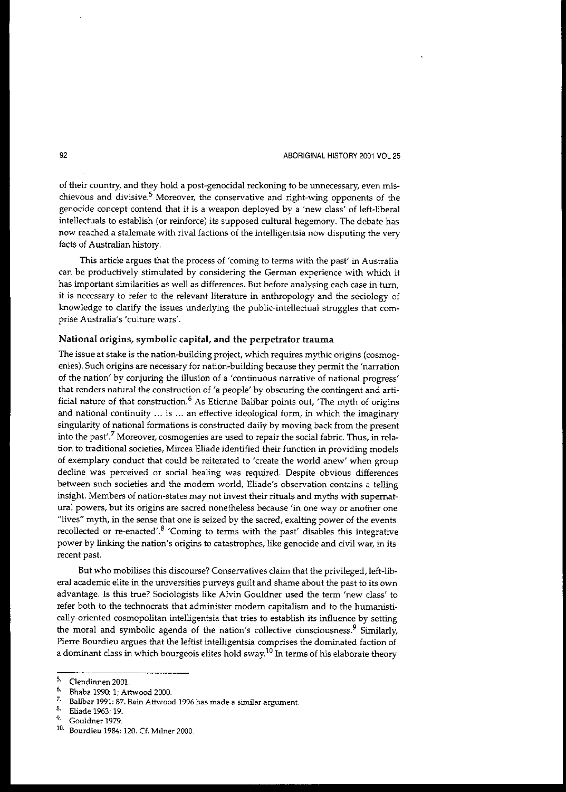**of their country, and they hold a post-genocidal reckoning to be unnecessary, even mischievous and divisive.<sup>5</sup> Moreover, the conservative and right-wing opponents of the** genocide concept contend that it is a weapon deployed by a 'new class' of left-liberal intellectuals to establish (or reinforce) its supposed cultural hegemony. The debate has **now reached a stalemate with ri'i:al factions of the intelligentsia now disputing the very** facts of Australian history.

**This article argues that the process of 'coming to tenns with the past' in Australia** can be productively stimulated by considering the German experience with which it **has important similarities as well as differences. But before analysing each case in turn,** it is necessary to refer to the relevant literature in anthropology and the sociology of knowledge to clarify the issues underlying the public-intellectual struggles that com**prise Australia's 'culture wars'.**

#### National origins, symbolic capital, and the perpetrator trauma

The issue at stake is the nation-building project, which requires mythic origins (cosmog**enies). Such origins are necessary for nation-building because they permit the 'narration** of the nation' by conjuring the illusion of a 'continuous narrative of national progress' **that renders natural the construction of 'a people' by obscuring the contingent and arti**ficial nature of that construction. $6$  As Etienne Balibar points out, 'The myth of origins **and national continuity ... is** ... **an effective ideological form, in which the imaginary** Singularity of national formations is constructed daily by moving back from the present **into the past'.<sup>7</sup> Moreover, cosmogenies are used to repair the social fabric. Thus, in relation to traditional societies, Mircea Eliade identified their function in prOViding models of exemplary conduct that could be reiterated to 'create the world anew' when group decline was perceived or social healing was required. Despite obvious differences betw'een such societies and the modern world, Eliade's observation contains a telling** insight. Members of nation-states may not invest their rituals and myths with supernat**ural powers, but its origins are sacred nonetheless because 'in one way or another one** "lives" myth, in the sense that one is seized by the sacred, exalting power of the events recollected or re-enacted'. $8$  'Coming to terms with the past' disables this integrative **power by linking the nation's origins to catastrophes, like genocide and civil war, in its recent past.**

But who mobilises this discourse? Conservatives claim that the privileged, left-lib**eral acaden:ic elite in the universities purveys guilt and shame about the past to its own** advantage. Is this true? Sociologists like Alvin Gouldner used the term 'new class' to refer both to the technocrats that administer modem capitalism and to the humanisti**cally-oriented cosmopolitan intelligentsia that tries to establish its influence by setting** the moral and symbolic agenda of the nation's collective consciousness.<sup>9</sup> Similarly, **Pierre Bourdieu argues that the leftist intelligentsia comprises the dominated faction of** a dominant class in which bourgeois elites hold sway.<sup>10</sup> In terms of his elaborate theory

 $\frac{5}{6}$ . Clendinnen 2001.

<sup>6.</sup> Bhaba 1990: 1; Attwood 2000.

<sup>7.</sup> **Balibar 1991: 87. Barn Attwood 1996 has made a similar argument.**

<sup>&</sup>lt;sup>8.</sup> Eliade 1963: 19.

**<sup>9.</sup> Gouldner 1979.**

**<sup>10.</sup> Bourdieu 1984: 120. Cf. Milner 2000.**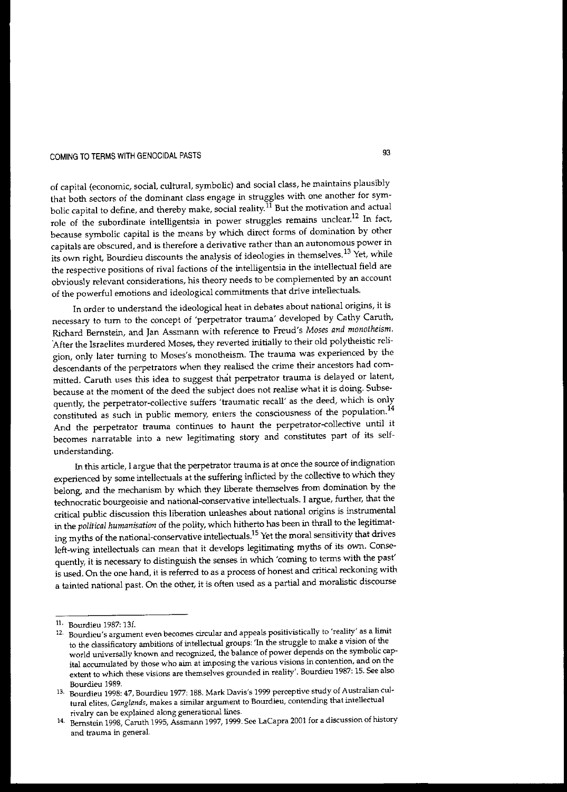of capital (economic, social, cultural, symbolic) and social class, he maintains plausibly that both sectors of the dominant class engage in struggles with one another for symbolic capital to define, and thereby make, social reality.  $\widetilde{H}$  But the motivation and actual role of the subordinate intelligentsia in power struggles remains unclear.<sup>12</sup> In fact, because symbolic capital is the means by which direct forms of domination by other **capitals are obscured, and is therefore a derivative rather than an autonomous power in** its own right, Bourdieu discounts the analysis of ideologies in themselves.<sup>13</sup> Yet, while the respective positions of rival factions of the intelligentsia in the intellectual field are **obviously relevant considerations, his theory needs to be complemented by an account of the powerful emotions and ideological commitments that drive intellectuals.**

In order to understand the ideological heat in debates about national origins, it is necessary to turn to the concept of 'perpetrator trauma' developed by Cathy Caruth, Richard Bemstein, and lan Assmann with reference to Freud's Moses *and monotheism.* After the Israelites murdered Moses, they reverted initially to their old polytheistic religion, only later turning to Moses's monotheism. The trauma was experienced by the **descendants of the perpetrators when they realised the crime their ancestors had com**mitted. Caruth uses this idea to suggest that perpetrator trauma is delayed or latent, because at the moment of the deed the subject does not realise what it is doing. Subse**quently, the perpetrator-collective suffers 'traumatic recall' as the deed, which is only constituted as such in public memory, enters the consciousness of the population.<sup>14</sup> And the perpetrator trauma continues to haunt the perpetrator-collective until it becomes narratable into a new legitimating story and constitutes part of its selfunderstanding.**

In this article, I argue that the perpetrator trauma is at once the source of indignation experienced by some intellectuals at the suffering inflicted by the collective to which they belong, and the mechanism by which they liberate themselves from domination by the **technocratic bourgeoisie and national-conservative intellectuals. I argue, further, that the critical public discussion this liberation unleashes about national origins is instrumental** in the *political humanisation* of the polity, which hitherto has been in thrall to the legitimating myths of the national-conservative intellectuals<sup>15</sup> Yet the moral sensitivity that drives left-wing intellectuals can mean that it develops legitimating myths of its own. Consequently, it is necessary to distinguish the senses in which 'coming to terms with the past' is used. On the one hand, it is referred to as a process of honest and critical reckoning with a tainted national past. On the other, it is often used as a partial and moralistic discourse

<sup>11.</sup> Bourdieu 1987: 131.

**<sup>12,</sup> Bourdieu's argument even becomes circular and appeals positivistically to 'reality' as a limit to the classificatory ambitions of intellectual groups: 'In the struggle to make a vision of the world universally known and recognized, the balance of power depends on the symbolic capital accumulated by those who aim at imposing the various visions in contention, and on the extent to which these visions are themselves grounded in reality'. Bourdieu 1987: 15. See also Bourdieu 1989.**

**<sup>13.</sup> Bourdieu 1998: 47, Bourdieu 1977: 188. Mark Davis's 1999 perceptive study of Australian cultural elites,** *Ganglands,* **makes a similar argument to Bourdieu, contending that intellectual rivalry can be explained along generationallines.**

**<sup>14.</sup> Bernstein 1998, Caruth 1995, Assmann 1997,1999. See LaCapra 2001 for a discussion** of history **and trauma in general.**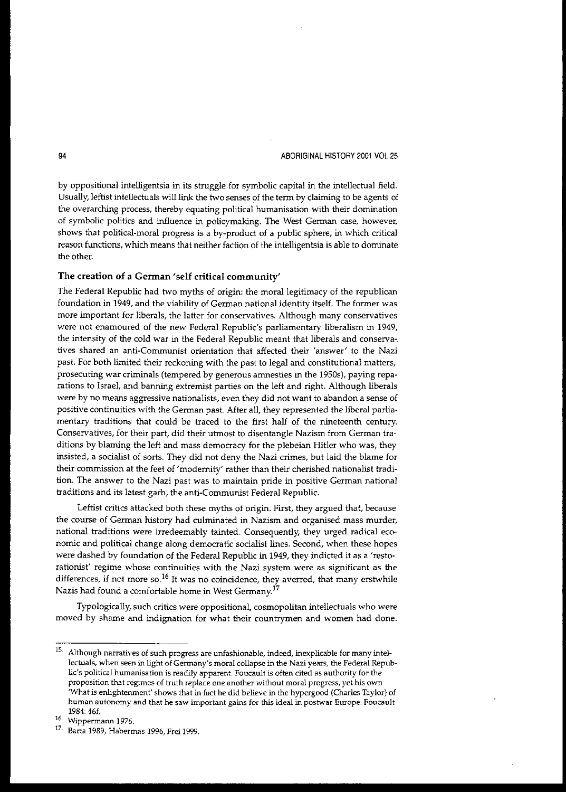by oppositional intelligentsia in its struggle for symbolic capital in the intellectual field. Usually, leftist intellectuals will link the two senses of the tenn by claiming to be agents of the overarching process, thereby equating political humanisation with their domination **of symbolic politics and influence in policymaking. The West German case, however,** shows that political-moral progress is a by-product of a public sphere, in which critical reason functions, which means that neither faction of the intelligentsia is able to dominate the other.

### The creation of a German 'self critical community'

The Federal Republic had two myths of origin: the moral legitimacy of the republican foundation in 1949, and the viability of German national identity itself. The former was more important for liberals, the latter for conservatives. Although many conservatives were not enamoured of the new Federal Republic's parliamentary liberalism in 1949, the intensity of the cold war in the Federal Republic meant that liberals and conserva-. **tives shared an anti-Communist orientation that affected their 'answer' to the Nazi** past. For both limited their reckoning with the past to legal and constitutional matters, prosecuting war criminals (tempered by generous amnesties in the 1950s), paying reparations to Israel, and banning extremist parties on the left and right. Although liberals **were by no means aggressive nationalists, even they did not want to abandon a sense of positive continuities with the German past. After all, they represented the liberal parlia**mentary traditions that could be traced to the first half of the nineteenth century. **Conservatives, for their part, did their utmost to disentangle Nazism from German tra**ditions by blaming the left and mass democracy for the plebeian Hitler who was, they insisted, a socialist of sorts. They did not deny the Nazi crimes, but laid the blame for their commission at the feet of 'modernity' rather than their cherished nationalist tradi**tion. The answer to the Nazi past was to maintain pride in positive German national** traditions and its latest garb, the anti-Communist Federal Republic.

Leftist critics attacked both these myths of origin. First, they argued that, because the course of German history had culminated in Nazism and organised mass murder, national traditions were irredeemably tainted. Consequently, they urged radical economic and political change along democratic socialist lines. Second, when these hopes were dashed by foundation of the Federal Republic in 1949, they indicted it as a 'resto**rationist' regime whose continuities with the Nazi system were as significant as the** differences, if not more so.<sup>16</sup> It was no coincidence, they averred, that many erstwhile Nazis had found a comfortable home in West Germany.<sup>17</sup>

Typologically, such critics were oppositional, cosmopolitan intellectuals who were **moved by shame and indignation for what their countrymen and women had done.**

<sup>15.</sup> **Although narratives of such progress are unfashionable, indeed, inexplicable for many intellectuals, when seen in light ofGermany's moral collapse in the Nazi years, the Federal Republic's political humanisation is readily apparent. Foucault is often cited as authority for the proposition that regimes of truth replace one another without moral progress, yet his own What is enlightenment' shows that in fact he did believe in the hypergood (Charles Taylor) of human autonomy and that he saw important gains for this ideal in postvvar EW'ope. Foucault** 1984: 46f.

<sup>16.</sup> **Wippermann 1976.**

<sup>17.</sup> **Barta 1989, Habermas 1996, Frei 1999.**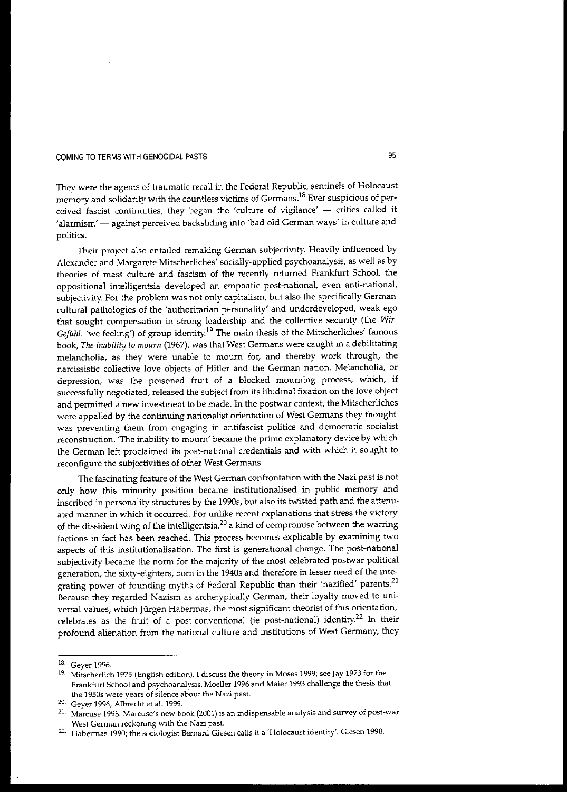They were the agents of traumatic recall in the Federal Republic, sentinels of Holocaust memory and **solidarity with the countless victims of Germans.18Ever suspicious of perceived fascist continuities, they began the 'culture of vigilance' - critics called it 'alarmisrn' - against perceived backsliding into 'bad old German ways' in culture and** politics.

Their project also entailed remaking German subjectivity. Heavily influenced by Alexander and Margarete Mitscherliches' socially-applied psychoanalysis, as well as by theories of mass culture and fascism of the recently returned Frankfurt School, the **appositional intelligentsia developed an emphatic post-national, even anti-national,** subjectivity. For the problem was not only capitalism, but also the specifically German cultural pathoJogies of the 'authoritarian personality' and underdeveloped, weak ego that sought compensation in strong leadership and the collective security (the *Wir-Gefühl:* 'we feeling') of group identity.<sup>19</sup> The main thesis of the Mitscherliches' famous book, *The inability* to *mourn* (1967), was that West Germans were caught in a debilitating melancholia, as they were unable to mourn for, and thereby work through, the **narcissistic collective love objects of Hitler and the German nation. Melancholia, or** depression, was the poisoned fruit of a blocked mourning process, which, if successfully negotiated, released the subject from its libidinal fixation on the love object **and permitted a new investment to be made. In the postwar context, the Mitscherliches** were appalled by the continuing nationalist orientation of West Germans they thought **was preventing them from engaging in antifascist politics and democratic socialist reconstruction. 'The inability to mourn' became the prime explanatory device by which** the German left proclaimed its post-national credentials and with which it sought to **reconfigure the subjectivities of other West Germans.**

The fascinating feature of the West German confrontation with the Nazi past is not only how this minority position became institutionalised in public memory and inscribed in personality structures by the 1990s, but also its twisted path and the attenu**ated manner in which it occurred. For unlike recent explanations that stress the victory** of the dissident wing of the intelligentsia, $^{20}$  a kind of compromise between the warring **factions in fact has been reached. This process becomes explicable by examining MO** aspects of this institutionalisation. The first is generational change. The post-national subjectivity became the norm for the majority of the most celebrated postwar political generation, the sixty-eighters, born in the 1940s and therefore in lesser need of the integrating power of founding myths of Federal Republic than their 'nazified' parents.<sup>21</sup> Because they regarded Nazism as archetypically German, their loyalty moved to uni**versal values, which Jiirgen Habermas, the most Significant theorist of this orientation, celebrates as the fru.it of a post-conventional (ie post-national) identity.22 In their** profound alienation from the national culture and institutions of West Germany, they

 $\frac{18.}{19.}$  Geyer 1996.

**<sup>19.</sup> Mitscherlich 1975 (English edition). I discuss the theory in Moses 1999; see Jay 1973 for the Frankfurt School and psychoanalysis. Moeller 1996 and Maier 1993 challenge the thesis that the 19505 were years of silence about the Nazi past.**

**<sup>20.</sup> Geyer 1996, Albrecht et al. 1999.**

**<sup>21.</sup> Marcuse 1998. Marcuse's new book (2001) is an indispensable analysis and survey** of post-war **West German reckoning with the Nazi past.**

**<sup>22.</sup> Habermas 1990; the sociologist Bernard Giesen calls it a 'Holocaust identity': Giesen 1998.**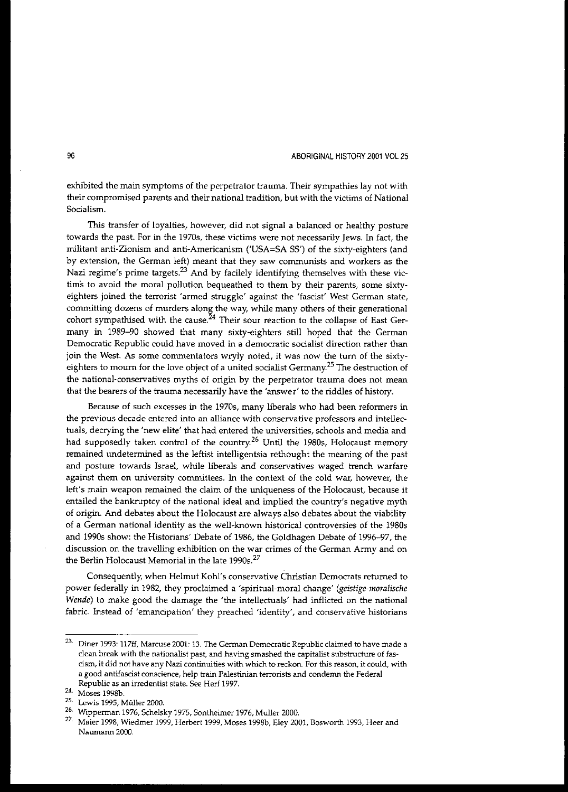exhibited the main symptoms of the perpetrator trauma. Their sympathies lay not with their compromised parents and their national tradition, but with the victims of National **Socialism.**

This transfer of loyalties, however, did not signal a balanced or healthy posture towards the past. For in the 1970s, these victims were not necessarily Jews. In fact, the militant anti-Zionism and anti-Americanism ('U5A=5A SS') of the sixty-eighters (and **by extension, the German left) meant that they saw communists and workers as the** Nazi regime's prime targets.<sup>23</sup> And by facilely identifying themselves with these victims to avoid the moral pollution bequeathed to them by their parents, some sixty**eighters joined the terrorist 'armed struggle' against the 'fascist' West German state,** committing dozens of murders along the way, while many others of their generational cohort sympathised with the cause.<sup>24</sup> Their sour reaction to the collapse of East Germany in 1989-90 showed that many sixty-eighters still hoped that the German **Democratic Republic could have moved in a democratic socialist direction rather than join the West. As some commentators wryly noted, it was now the turn of the sixtyeighters to mourn for the love object of a united socialist Germany.25 The destruction of** the national-conservatives myths of origin by the perpetrator trauma does not mean that the bearers of the trauma necessarily have the 'answer' to the riddles of history.

**Because of such excesses in the 19705, many liberals who had been reformers in the previous decade entered into an alliance with conservative professors and intellec**tuals, decrying the 'new elite' that had entered the universities, schools and media and had supposedly taken control of the country.<sup>26</sup> Until the 1980s, Holocaust memory remained undetermined as the leftist intelligentsia rethought the meaning of the past **and posture towards Israel, while liberals and conservatives waged trench warfare against them on university committees. In the context of the cold war, however, the left's main weapon remained the claim of the Wliqueness of the Holocaust, because it** entailed the bankruptcy of the national ideal and implied the country's negative myth of origin. And debates about the Holocaust are always also debates about the viability **of a German national identity as the well-known historical controversies of the 1980s** and 1990s show: the Historians' Debate of 1986, the Goldhagen Debate of 1996-97, the **discussion on the travelling exhibition on the war crimes of the German Army and on** the Berlin Holocaust Memorial in the late 1990s.<sup>27</sup>

Consequently, when Helmut Kohl's conservative Christian Democrats returned to power federally in 1982, they proclaimed a 'spiritual-moral change' *(geistige-moralische Wende)* to make good the damage the 'the intellectuals' had inflicted on the national fabric. Instead of 'emancipation' they preached 'identity', and conservative historians

**<sup>23.</sup> Diner 1993: 117ff, Marcuse 2001: 13. The German Democratic Republic claimed to have made a clean break with the nationalist past, and having smashed the capitalist substructure of fascism, it did not have any Nazi continuities with which to reckon. For this reason, it could, with a good antifascist conscience, help train Palestinian terrorists and conderrm the Federal Republic as an irredentist state. See Herf 1997.**

**<sup>24.</sup> Moses 1998b.**

**<sup>25.</sup> Lewis 1995, MUller 2000.**

<sup>26.</sup> Wipperman 1976, Schelsky 1975, Sontheimer 1976, Muller 2000.

**<sup>27.</sup> Maier 1998, Wiedmer 1999, Herbert 1999, Moses 1998b, Eley 2001, Bosworth 1993, Heer and Naumann 2000.**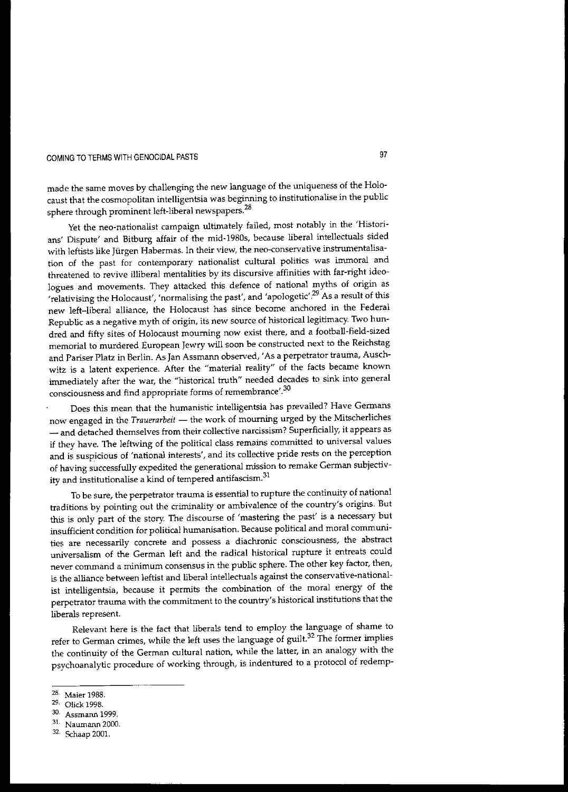made the same moves by challenging the new language of the uniqueness of the Holocaust that the cosmopolitan intelligentsia was beginning to institutionalise in the public sphere through prominent left-liberal newspapers 28

Yet the neo-nationalist campaign ultimately failed, most notably in the 'Historians' Dispute' and Bitburg affair of the mid-1980s, because liberal intellectuals sided **with leftists like Jiirgen Habermas. In their view, the nea-conservative instrurnentalisation** of the past for contemporary nationalist cultural politics was immoral and threatened to revive illiberal mentalities by its discursive affinities with far-right ideologues and movements. They attacked this defence of national myths of origin as **'relativising the Holocaust', 'normalising the past', and <sup>I</sup> apologetic'.29 As a result of this** new left-liberal alliance, the Holocaust has since become anchored in the Federal **Republic as a negative myth of origin, its new source of historicallegitirnacy. Two hun**dred and fifty sites of Holocaust mourning now exist there, and a football-field-sized **memorial to murdered European Jewry will soon be constructed next to the Reichstag** and Pariser Platz in Berlin. As lan Assmann observed, 'As a perpetrator trauma, Auschwitz is a latent experience. After the "material reality" of the facts became known immediately after the war, the "historical truth" needed decades to sink into general **consciousness and find appropriate forms of remembrance,.3o**

**Does this mean that the humanistic intelligentsia has prevailed? Have Germans** now engaged in the *Trauerarbeit* - the work of mourning urged by the Mitscherliches **\_ and detached themselves from their collective narcissism? Superficially, it appears as** if they have. The leftwing of the political class remains committed to universal values **and is suspicious of 'national interests', and its collective pride rests on the perception** of having successfully expedited the generational mission to remake German subjectiv**ity and institutionalise a kind of tempered antifascism.<sup>31</sup>**

**To be sure, the perpetrator trauma is essential to rupture the continuity of national** traditions by pointing out the criminality or ambivalence of the country's origins. But this is only part of the story. The discourse of 'mastering the past' is a necessary but **insufficient condition for political humanisation. Because political and moral communities are necessarily concrete and possess a diachronic consciousness, the abstract universalism of the German left and the radical historical rupture it entreats could never command a minimum consensus in the public sphere. The other key factor, then,** is the alliance between leftist and liberal intellectuals against the conservative-nationalist intelligentsia, because it permits the combination of the moral energy of the **perpetrator trauma with the commitment to the COWltry'S historical institutions that the** liberals represent.

Relevant here is the fact that liberals tend to employ the language of shame to refer to German crimes, while the left uses the language of guilt.<sup>32</sup> The former implies the continuity of the German cultural nation, while the latter, in an analogy with the psychoanalytic procedure of working through, is indentured to a protocol of redemp-

**<sup>28.</sup> Maier 1988.**

 $^{29}$ . Olick 1998.

Assmann 1999.

**<sup>31.</sup> Naurnann 2000.**

<sup>32.</sup> Schaap 2001.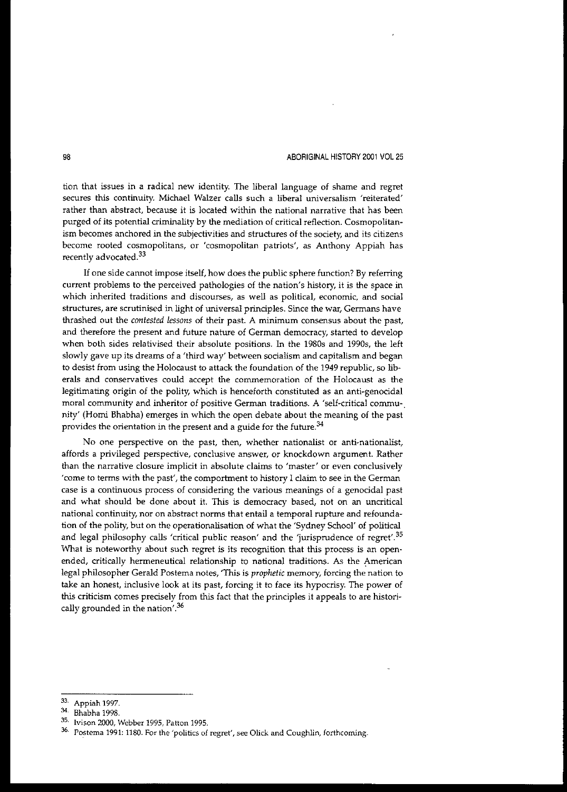tion that issues in a radical new identity. The liberal language of shame and regret **secures this continuity. Michael Walzer calls such a liberal universalism 'reiterated'** rather than abstract, because it is located within the national narrative that has been **purged of its potential criminality by the mediation of critical reflection. Cosmopolitanism becomes anchored in the subjectivities and structures of the society, and its citizens become rooted cosmopolitans, or 'cosmopolitan patriots', as Anthony Appiah has** recently advocated.<sup>33</sup>

**If one side cannot impose itself, how does the public sphere function? By referring** current problems to the perceived pathologies of the nation's history, it is the space in **which inherited traditions and discourses, as well as political, economic, and social structures, are scrutinised in light of universal principles. Since the war, Germans have** thrashed out the *contested lessons* of their past. A minimum consensus about the past, and therefore the present and future nature of German democracy, started to develop when both sides relativised their absolute positions. In the 1980s and 1990s, the left slowly gave up its dreams of a 'third way' between socialism and capitalism and began to desist from using the Holocaust to attack the foundation of the 1949 republic, so lib**erals and conservatives could accept the commemoration of the Holocaust as the** legitimating origin of the polity, which is henceforth constituted as an anti-genocidal **moral community and inheritor of positive German traditions. A 'self-critical commu-.** nity' (Homi Bhabha) emerges in which the open debate about the meaning of the past **provides the orientation in the present and a guide for the future.<sup>34</sup>**

**No one perspective on the past, then, whether nationalist or anti-nationalist,** affords a privileged perspective, conclusive answer, or knockdown argument. Rather **than the narrative closure implicit in absolute claims to 'master' or even conclUSively 'come to terms with the past', the comportment to history I claim to see in the German case is a continuous process of considering the various meanings of a genocidal past and what should be done about it. This is democracy based, not on an uncritical national continuity, nor on abstract norms that entail a temporal rupture and refounda**lion of the polity, but on the operationalisation of what the 'Sydney School' of political and legal philosophy calls 'critical public reason' and the 'jurisprudence of regret'.<sup>35</sup> **VVhat is noteworthy about such regret is its recognition that this process is an open**ended, critically hermeneutical relationship to national traditions. As the American legal philosopher Gerald Postema notes, 'This is *prophetic* memory, forcing the nation to **take an honest, inclusive look at its past, forcing it to face its hypocrisy. The power of** this criticism comes precisely from this fact that the principles it appeals to are historically grounded in the nation'. $36$ 

<sup>33.</sup> **Appiah 1997.**

<sup>34.</sup> Bhabha 1998.

<sup>35.</sup> **Ivison 2000, Webber 1995, Patton 1995.**

<sup>36.</sup> **Po.stema 1991: 1180. For the 'politics of regret', see Olick and Coughlin, forthcoming.**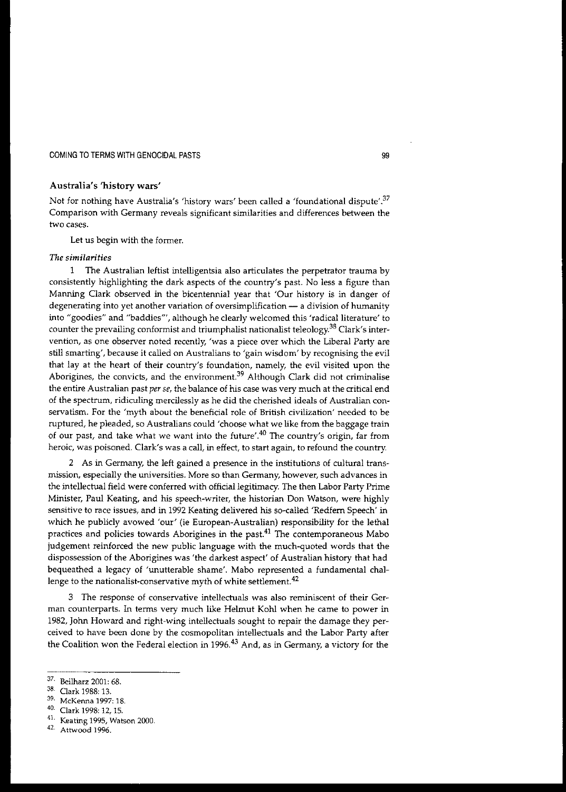### **Australia's 'history wars'**

Not for nothing have Australia's 'history wars' been called a 'foundational dispute'.<sup>37</sup> **Comparison with Germany reveals significant similarities and differences hetw'een the two cases.**

Let us begin with the former.

### **The** *similarities*

1 The Australian leftist intelligentsia also articulates the perpetrator trauma by consistently highlighting the dark aspects of the country's past. No less a figure than Manning Clark observed in the bicentennial year that 'Our history is in danger of **degenerating into yet another variation of oversimplification - a division of humanity** into "goodies" and "baddies"', although he clearly welcomed this 'radical literature' to counter the prevailing conformist and triumphalist nationalist teleology.<sup>38</sup> Clark's inter**vention, as one observer noted recently, 'was a piece over which the Liberal Party are still smarting', because it called on Australians to 'gain wisdom' by recognising the evil** that lay at the heart of their country's foundation, namely, the evil visited upon the **Aborigines, the convicts, and the environment.<sup>39</sup> Although Clark did not criminalise** the entire Australian past *per se,* the balance of his case was very much at the critical end of the spectrum, ridiculing mercilessly as he did the cherished ideals of Australian con**servatism. For the 'myth about the beneficial role of British civilization' needed to be** ruptured, he pleaded, so Australians could 'choose what we like from the baggage train of our past, and take what we want into the future'.4o The country's origin, far from **heroic, was poisoned. Clark's was a call, in effect, to start again, to refound the country.**

2 As in Germany, the left gained a presence in the institutions of cultural trans**mission, especially the universities. More so than Germany, however, such advances in** the intellectual field were conferred with official legitimacy. The then Labor Party Prime Minister, Paul Keating, and his speech-writer, the historian Don Watson, were highly sensitive to race issues, and in 1992 Keating delivered his so-called 'Redfem Speech' in which he publicly avowed 'our' (ie European-Australian) responsibility for the lethal practices and policies towards Aborigines in the past. $41$  The contemporaneous Mabo judgement reinforced the new public language with the much-quoted words that the dispossession of the Aborigines was 'the darkest aspect' of Australian history that had bequeathed a legacy of 'unutterable shame'. Mabo represented a fundamental chal**lenge to the nationalist-conservative myth of white settlement.<sup>42</sup>**

**3 The response of conservative intellectuals was also reminiscent of their German counterparts. In tenns very much like Helmut Kohl when he came to power in** 1982, John Howard and right-wing intellectuals sought to repair the damage they perceived to have been done by the cosmopolitan intellectuals and the Labor Party after the Coalition won the Federal election in 1996.<sup>43</sup> And, as in Germany, a victory for the

- **41. Keating 1995, Watson 2000.**
- **42. Attwood 1996.**

<sup>37.</sup> Beilharz 2001, 68.

<sup>38.</sup> Clark 1988, 13.

<sup>39.</sup> **McKenna 1997: 18.**

<sup>40.</sup> Clark 1998, 12, 15.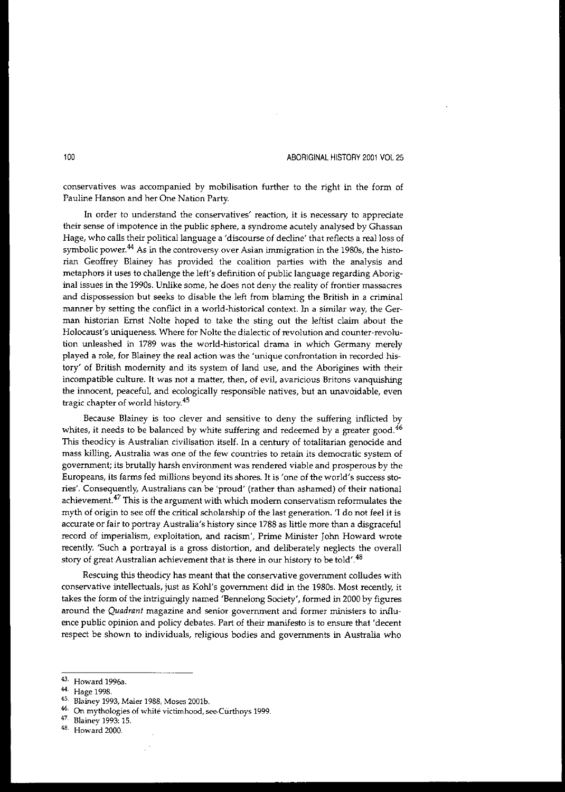**conservatives was accompanied by mobilisation further to the right in the form of** Pauline Hanson and her One Nation Party.

**In order to understand the conservatives' reaction, it is necessary to appreciate their sense of impotence in the public sphere, a syndrome acutely analysed by Ghassan** Hage, who calls their political language a 'discourse of decline' that reflects a real loss of **symbolic power.<sup>44</sup> As in the controversy over Asian immigration in the 19805, the histo**rian Geoffrey Blainey has provided the coalition parties with the analysis and metaphors it uses to challenge the left's definition of public language regarding Aboriginal issues in the 1990s. Unlike some, he does not deny the reality of frontier massacres and dispossession but seeks to disable the left from blaming the British in a criminal manner by setting the conflict in a world-historical context. In a similar way, the German historian Ernst Nolte hoped to take the sting out the leftist claim about the **Holocaust's Wliqueness. Where for Nolte the dialectic of revolution and counter-revolu**tion unleashed in 1789 was the world-historical drama in which Germany merely **played a role, for Blainey the real action was the 'unique confrontation in recorded his**tory' of British modernity and its system of land use, and the Aborigines with their **incompatible culture. It was not a matter, then, of evil, avaricious Britons vanquishing** the innocent, peaceful, and ecologically responsible natives, but an unavoidable, even tragic chapter of world history.<sup>45</sup>

Because Blainey is too clever and sensitive to deny the suffering inflicted by whites, it needs to be balanced by white suffering and redeemed by a greater good.<sup>46</sup> This theodicy is Australian civilisation itself. In a century of totalitarian genocide and **mass killing, Australia was one of the few countries to retain its democratic system of government; its brutally harsh environment was rendered viable and prosperous by the Europeans, its farms fed millions beyond its shores. It is 'one of the world's success stories'. Consequently, Australians can be 'proud' (rather than ashamed) of their national** achievement.<sup>47</sup> This is the argument with which modern conservatism reformulates the myth of origin to see off the critical scholarship of the last generation. 'I do not feel it is accurate or fair to portray Australia's history since 1788 as little more than a disgraceful **record of imperialism, exploitation, and racism', Prime Minister John Howard wrote** recently. 'Such a portrayal is a gross distortion, and deliberately neglects the overall **story of great Australian achievement that is there in our history to be told,.48**

Rescuing this theodicy has meant that the conservative government colludes with conservative intellectuals, just as Kohl's government did in the 1980s. Most recently, it takes the form of the intriguingly named 'Bennelong Society', formed in 2000 by figures **around the** *Quadrant* **magazine and senior government and former ministers to influ**ence public opinion and policy debates. Part of their manifesto is to ensure that 'decent respect be shown to individuals, religious bodies and governments in Australia who

**<sup>43.</sup> Howard 1996a.**

<sup>44.</sup> Hage 1998.

**<sup>45.</sup> Blainey 1993, Maier 1988, Moses 2001b.**

**<sup>46.</sup> On mythologies of white victimhood, see.Curthoys 1999.**

<sup>47.</sup> Blainey 1993: 15.

**<sup>48.</sup> Howard 2000.**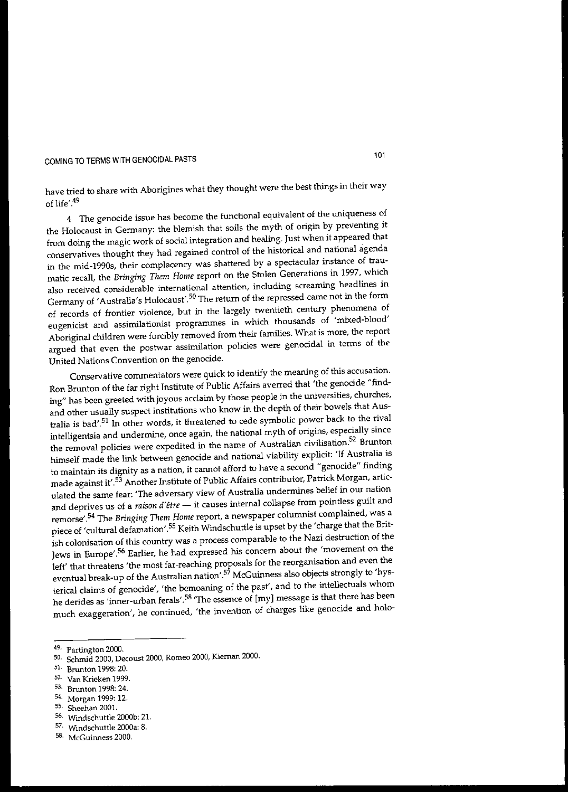have tried to share with Aborigines what they thought were the best things in their way of life'. $49$ 

**4 The genocide issue has become the functional equivalent of the uniqueness of** the Holocaust in Germany: the blemish that soils the myth of origin by preventing it from doing the magic work of social integration and healing. Just when it appeared that conservatives thought they had regained control of the historical and national agenda **in the mid-1990s, their complacency was shattered by a spectacular instance of trau**matic recall, the *Bringing Them Home* report on the Stolen Generations in 1997, which **also received considerable international attention, including screaming headlines in** Germany of 'Australia's Holocaust'.<sup>50</sup> The return of the repressed came not in the form of records of frontier violence, but in the largely twentieth century phenomena of **eugenicist and assimilationist programmes in which thousands of 'mixed-blood'** Aboriginal children were forcibly removed from their families. What is more, the report **argued that even the postwar assimilation policies were genocidal in terms of the** United Nations Convention on the genocide.

Conservative commentators were quick to identify the meaning of this accusation. Ron Brunton of the far right Institute of Public Affairs averred that 'the genocide "finding" has been greeted with joyous acclaim by those people in the universities, churches, and other usually suspect institutions who know in the depth of their bowels that Australia is bad'51 In other words, it threatened to cede symbolic power back to the rival intelligentsia and undermine, once again, the national myth of origins, especially since **the removal policies were expedited in the name of Australian civilisation. 52 Bnmton** himself made the link between genocide and national viability explicit: 'If Australia is **to maintain its dignity as a nation, it cannot afford to have a second"genocide" finding** made against it'.<sup>53</sup> Another Institute of Public Affairs contributor, Patrick Morgan, artic**ulated the same fear: 'The adversary view of Australia undermines belief in our nation** and deprives us of a *raison d'être* - it causes internal collapse from pointless guilt and remorse,.54 The *Bringing Them Home* report, a newspaper columnist complained, was a piece of 'cultural defamation'.<sup>55</sup> Keith Windschuttle is upset by the 'charge that the British colonisation of this country was a process comparable to the Nazi destruction of the Jews in Europe'.56 Earlier, he had expressed his concern about the 'movement on the **left' that threatens 'the most far-reaching proposals for the reorganisation and even the** eventual break-up of the Australian nation'57 McGuinness also objects strongly to 'hysterical claims of genocide', 'the bemoaning of the past', and to the intellectuals whom he derides as 'inner-urban ferals'.<sup>58</sup> 'The essence of [my] message is that there has been much exaggeration', he continued, 'the invention of charges like genocide and holo-

- 54. Morgan 1999, 12.
- **55. Sheehan 200l.**
- 56. Windschuttle 2000b: 21.
- **57. Windschuttle 2000a: 8.**
- **58. McGuinness 2000.**

<sup>49.</sup> Partington 2000.

<sup>50.</sup> Schmid 2000, Decoust 2000, Romeo 2000, Kieman 2000.

<sup>51.</sup> Brunton 1998: 20.

**<sup>52.</sup> Van Krieken 1999.**

**<sup>53.</sup> Brunton 1998: 24.**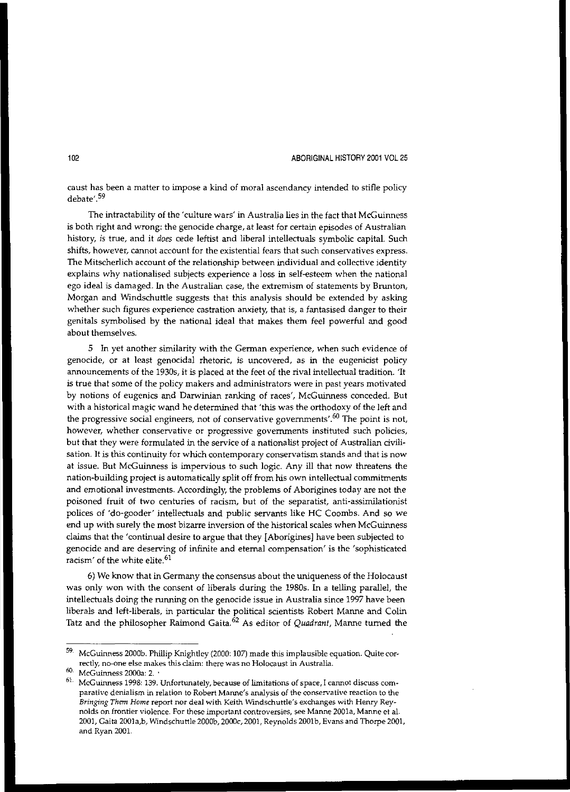**caust has been a matter to impose a kind of moral ascendancy intended to stifle policy** debate'.<sup>59</sup>

The intractability of the 'culture wars' in Australia lies in the fact that McGuinness **is both right and wrong: the genocide charge, at least for certain episodes of Australian** history, is true, and it does cede leftist and liberal intellectuals symbolic capital. Such **shifts, however, cannot account for the existential fears that such conservatives express. The Mitscherlich account of the relationship between individual and collective identity explains why nationalised subjects experience a loss in self-esteem when the national** ego ideal is damaged. In the Australian case, the extremism of statements by Brunton, Morgan and Windschuttle suggests that this analysis should be extended by asking **whether such figures experience castration anxiety, that is, a fantasised danger to their** genitals symbolised by the national ideal that makes them feel powerful and good about themselves.

5 In yet another similarity with the German experience, when such evidence of **genocide, or at least genocidal rhetoriC, is uncovered, as in the eugenicist policy** announcements of the 19305, it is placed at the feet of the rival intellectual tradition. 'It **is true that some of the policy makers and administrators were in past years motivated** by notions of eugenics and Darwinian ranking of races', McGuinness conceded. But with a historical magic wand he determined that 'this was the orthodoxy of the left and **the progressive social engineers, not of conservative governments'.60 The point is not, however, whether conservative or progressive governments instituted such policies,** but that they were formulated in the service of a nationalist project of Australian civili**sation. It is this continuity for which contemporary conservatism stands and that is now** at issue. But McGuinness is impervious to such logic. Any ill that now threatens the nation-building project is automatically split off from his own intellectual commitments and emotional investments. Accordingly, the problems of Aborigines today are not the poisoned fruit of two centuries of racism, but of the separatist, anti-assimilationist polices of 'do-gooder' intellectuals and public servants like HC Coombs. And so we end up with surely the most bizarre inversion of the historical scales when McGuinness claims that the 'continual desire to argue that they [Aborigines] have been subjected to **genocide and are deserving of infinite and eternal compensation' is the 'sophisticated racism' of the white elite.<sup>61</sup>**

6) We know that in Germany the consensus about the uniqueness of the Holocaust was only won with the consent of liberals during the 19805. In a telling parallel, the **intellectuals doing the naming on the genocide issue in Australia since 1997 have been** liberals and left-liberals, in particular the political scientists Robert Manne and Colin Tatz and the philosopher Raimond Gaita.<sup>62</sup> As editor of *Quadrant*, Manne turned the

<sup>59.</sup> McGuinness 2000b. Phillip Knightley (2000: 107) made this implausible equation. Quite cor**rectly, no-one else makes this claim: there was no Holocaust in Australia.**

**<sup>60.</sup> McGuinness 2000a: 2. '**

**<sup>61.</sup> McGuinness 1998: 139. Unfortunately, because of limitations of space, I cannot discuss comparative denialism in relation to Robert Marme's analysis of the conservative reaction to the** *Bringing Them Home* **report nor deal with Keith Windschuttle's exchanges with Henry Reynolds on frontier violence. For these important controversies, see Manne 2001a, Manne et aI.** 2001, Gaita 200Ia,b, Windschuttle 2000b, 2000c, 2001, Reynolds 2001b, Evans and Thozpe 2001, and Ryan 2001.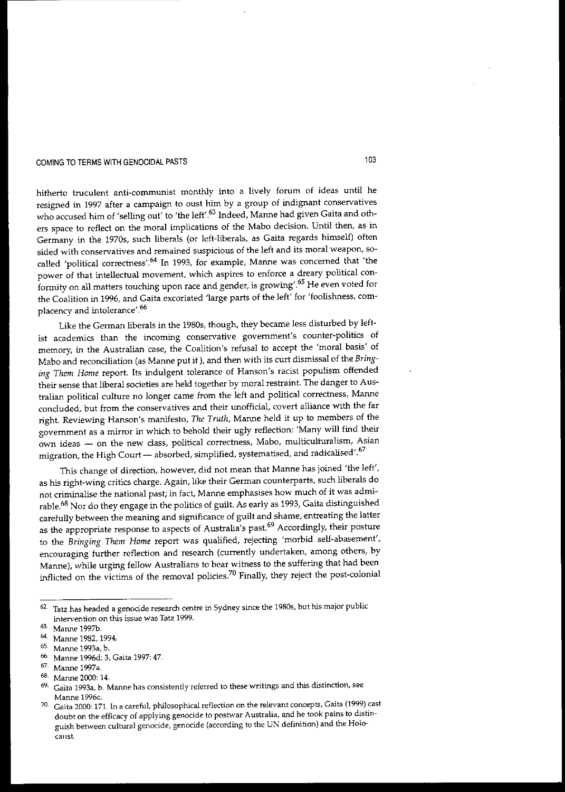**hitherto truculent anti-eommunist monthly into a lively forum of ideas until he** resigned in 1997 after a campaign to oust him by a group of indignant conservatives who accused him of 'selling out' to 'the left'.<sup>63</sup> Indeed, Manne had given Gaita and oth**ers space to reflect on the moral implications of the Mabo decision. Until then, as in** Germany in the 1970s, such liberals (or left-liberals, as Gaita regards himself) often **sided with conservatives and remained suspicious of the left and its moral weapon, so**called 'political correctness'.<sup>64</sup> In 1993, for example, Manne was concerned that 'the **power of that intellectual movement, which aspires to enforce a dreary political con**formity on all matters touching upon race and gender, is growing'. $^{65}$  He even voted for the Coalition in 1996, and Gaita excoriated 'large parts of the left' for 'foolishness, com**placency and intolerance'.66**

Like the German liberals in the 1980s, though, they became less disturbed by left**ist academics than the incoming conservative government's counter-politics of** memory, in the Australian case, the Coalition's refusal to accept the 'moral basis' of Mabo and reconciliation (as Manne put it), and then with its curt dismissal of the *Bringing Them Home* report. Its indulgent tolerance of Hanson's racist populism offended **their sense that liberal societies are held together by moral restraint. The danger to Australian political culture no longer came from the left and political correctness, Manne concluded, but from the conservatives and their unofficial, covert alliance with the far** right. Reviewing Hanson's manifesto, *The Truth,* Manne held it up to members of the government as a mirror in which to behold their ugly reflection: 'Many will find their **own ideas - on the new class, political correctness, Mabo, multiculturalism, Asian** migration, the High Court- absorbed, simplified, systematised, and radicalised'. $^{67}$ 

This change of direction, however, did not mean that Manne has joined 'the left', **as his right-Wing critics charge. Again, like their German counterparts, such liberals do not criminalise the national past; in fact, Manne emphaSises how much of it was admi**rable.<sup>68</sup> Nor do they engage in the politics of guilt. As early as 1993, Gaita distinguished carefully between the meaning and significance of guilt and shame, entreating the latter as the appropriate response to aspects of Australia's past.<sup>69</sup> Accordingly, their posture to the *Bringing Them Home* report was qualified, rejecting 'morbid self-abasement', **encouraging further reflection and research (currently undertaken, among others, by** Manne), while urging fellow Australians to bear witness to the suffering that had been inflicted on the victims of the removal policies.<sup>70</sup> Finally, they reject the post-colonial

<sup>62.</sup> **Tatz has headed a genocide research centre in Sydney since the 19805, but his major public intervention on this issue was Tatz 1999.**

**<sup>63.</sup> Manne 1997b.**

<sup>64.</sup> Manne 1982, 1994.

<sup>65.</sup> Manne 1993a, b.

<sup>66.</sup> Manne 1996d: 3, Gaita 1997: 47.

**<sup>67.</sup> Manne 1997a.**

Manne 2000: 14.

**<sup>69.</sup> Gaita 1993a, b. Manne has consistently referred to these writings and this distinction, see Manne 1996c.**

**<sup>70.</sup> Gaita 2000: 171. In a careful, philosophical reflection on the relevant concepts, Gaita (1999) cast**  $d$ oubt on the efficacy of applying genocide to postwar Australia, and he took pains to distin**guish between cultural genocide, genocide (according to the UN definition) and the Holocaust.**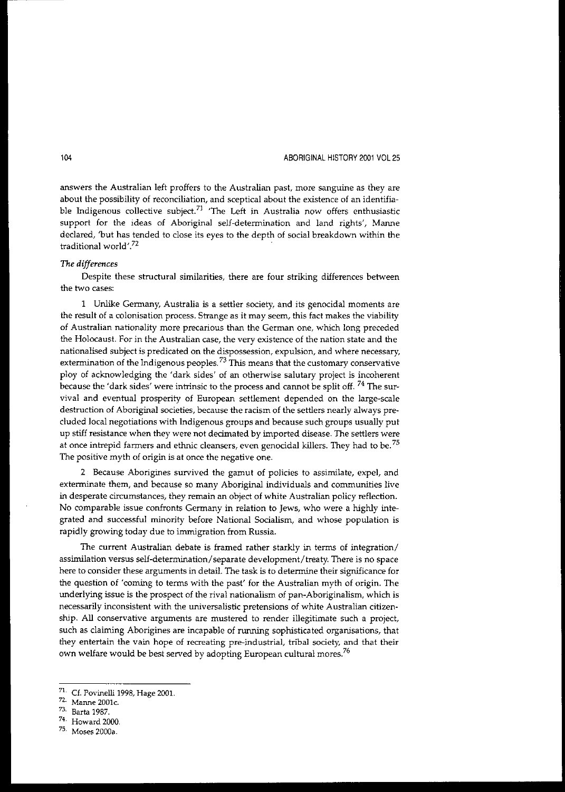answers the Australian left proffers to the Australian past, more sanguine as they are **about the possibility of reconciliation, and sceptical about the existence of an identifiable Indigenous collective subject. <sup>71</sup> 'The Left in Australia now offers enthusiastic** support for the ideas of Aboriginal self-determination and land rights', Manne declared, 'but has tended to close its eyes to the depth of social breakdown within the traditional world'.<sup>72</sup>

#### The *differences*

**Despite these structural similarities, there are four striking differences betvveen the two cases:**

**1 Unlike Germany, Australia is a settler society, and its genocidal moments are the result of a colonisation process. Strange as it may seem, this fact makes the viability of Australian nationality more precarious than the German one, which long preceded the Holocaust. For in the Australian case, the very existence of the nation state and the nationalised subject is predicated on the dispossession, expulsion, and where necessary, extermination of the Indigenous peoples. 73 This means that the customary conservative** ploy of acknowledging the 'dark sides' of an otherwise salutary project is incoherent **because the 'dark sides' were intrinsic to the process and cannot be split off. 74 The sur**vival and eventual prosperity of European settlement depended on the large-scale **destruction of Aboriginal societies, because the racism of the settlers nearly always pre**cluded local negotiations with Indigenous groups and because such groups usually put **up stiff resistance when they were not decimated by imported disease. The settlers were** at once intrepid farmers and *ethnic* cleansers, even genocidal killers. They had to be. 75 **The positive myth of origin is at once the negative one.**

2 Because Aborigines survived the gamut of policies to assimilate, expel, and **exterminate them, and because so many Aboriginal individuals and communities live in desperate circumstances, they remain an object of white Australian policy reflection. No comparable issue confronts Germany in relation to Jews, who were a highly integrated and successful minority before National Socialism, and whose population is** rapidly growing today due to immigration from Russia.

The current Australian debate is framed rather starkly in terms of integration/ assimilation versus self-determination/separate development/treaty. There is no space **here to consider these arguments in detail. The task is to determine their significance for** the question of 'coming to terms with the past' for the Australian myth of origin. The underlying issue is the prospect of the rival nationalism of pan-Aboriginalism, which is **necessarily inconsistent with the universalistic pretensions of white Australian citizenship. All conservative arguments are mustered to render illegitimate such a project,** such as claiming Aborigines are incapable of running sophisticated organisations, that **they entertain the vain hope of recreating pre-industrial, tribal society, and that their** own welfare would be best served by adopting European cultural mores.<sup>76</sup>

<sup>71.</sup> Cf. Povinelli 1998, Hage 200l.

<sup>72.</sup> **Manne 2001c.**

**<sup>73.</sup> Barta 1987.**

<sup>74.</sup> Howard 2000.

**<sup>75.</sup> Moses 2000a.**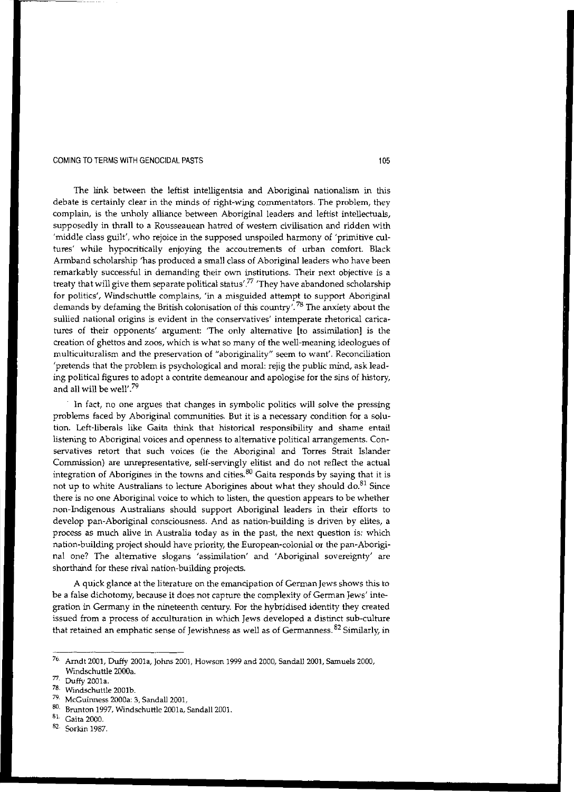The link between the leftist intelligentsia and Aboriginal nationalism in this debate is certainly clear in the minds of right-wing commentators. The problem, they complain, is the unholy alliance between Aboriginal leaders and leftist intellectuals, **supposedly in thrall to a Rousseauean hatred of western civilisation and ridden with** 'middle class guilt', who rejoice in the supposed unspoiled harmony of 'primitive cultures' while hypocritically enjoying the accoutrements of urban comfort. Black Armband scholarship 'has produced a small class of Aboriginal leaders who have been **remarkably successful in demanding their own institutions. Their next objective is a** treaty that will give them separate political status'.<sup>77</sup> 'They have abandoned scholarship for politics', Windschuttle complains, 'in a misguided attempt to support Aboriginal demands by defaming the British colonisation of this country'. <sup>78</sup> The anxiety about the **sullied national origins is evident in the conservatives' intemperate rhetorical carica**tures of their opponents' argument: 'The only alternative [to assimilation] is the creation of ghettos and zoos, which is what so many of the well-meaning ideologues of **multiculturalism and the preservation of "aboriginality" seem to want'. Reconciliation** 'pretends that the problem is psychological and moral: rejig the public mind, ask leading political figures to adopt a contrite demeanour and apologise for the sins of history, and all will be well'.<sup>79</sup>

In fact, no one argues that changes in symbolic politics will solve the pressing **problems faced by Aboriginal communities. But it is a necessary condition for a solu**tion. Left-liberals like Gaita think that historical responsibility and shame entail listening to Aboriginal voices and openness to alternative political arrangements. Con**servatives retort that such voices (ie the Aboriginal and Torres Strait Islander** Commission) are unrepresentative, self-servingly elitist and do not reflect the actual integration of Aborigines in the towns and cities. $80$  Gaita responds by saying that it is not up to white Australians to lecture Aborigines about what they should  $do$ <sup>81</sup> Since **there is no one Aboriginal voice to which to listen, the question appears to be whether** non-Indigenous Australians should support Aboriginal leaders in their efforts to develop pan-Aboriginal consciousness. And as nation-building is driven by elites, a process as much alive in Australia today as in the past, the next question is: which nation-building project should have priority, the European-colonial or the pan-Aborigi**nal one? The alternative slogans 'assimilation' and 'Aboriginal sovereignty' are** shorthand for these rival nation-building projects.

A quick glance at the literature on the emancipation of German Jews shows this to be a false dichotomy, because it does not capture the complexity of German Jews' integration in Germany in the nineteenth century. For the hybridised identity they created issued from a process of acculturation in which Jews developed a distinct sub-culture **that retained an emphatic sense of Jewishness as well as of Germanness. 82 Similarly, in**

<sup>&</sup>lt;sup>76.</sup> Arndt 2001, Duffy 2001a, Johns 2001, Howson 1999 and 2000, Sandall 2001, Samuels 2000, Windschuttle 2000a.

<sup>77.</sup> Duffy 2oo1a.

**<sup>78.</sup> Windschuttle 2001b.**

**<sup>79.</sup> McGuinness 2000a: 3, Sanda1l200l,**

 $80.$  Brunton 1997, Windschuttle 2001a, Sandall 2001.

**<sup>81.</sup> Gaita 2000.**

<sup>82.</sup> Sorkin 1987.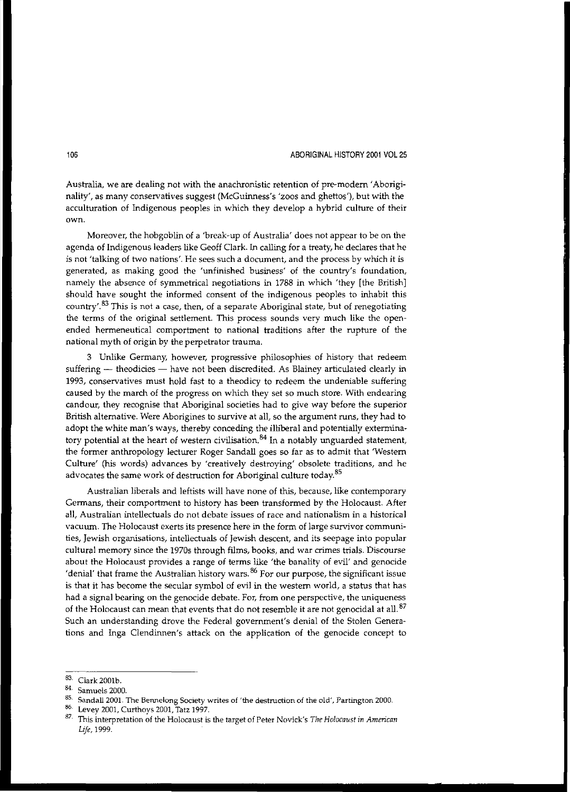**Australia, we are dealing not with the anachronistic retention of pre-modem 'Aborigi**nality', as many conservatives suggest (McGuinness's 'zoos and ghettos'), but with the acculturation of Indigenous peoples in which they develop a hybrid culture of their **own.**

Moreover, the hobgoblin of a 'break-up of Australia' does not appear to be on the agenda of Indigenous leaders like Geoff Clark. In calling for a treaty, he declares that he **is not 'talking of two nations'. He sees such a document, and the process by which it is** generated, as making good the 'unfinished business' of the country's foundation, namely the absence of symmetrical negotiations in 1788 in which 'they [the British] should have sought the informed consent of the indigenous peoples to inhabit this **country,.B3 This is not a case, then, of a separate Aboriginal state, but of renegotiating the terms of the original settlement. This process sounds very much like the openended hermeneutical comportment to national traditions after the rupture of the** national myth of origin by the perpetrator trauma.

**3 Unlike Germany, however, progressive philosophies of history that redeem** suffering - theodicies - have not been discredited. As Blainey articulated clearly in 1993, conservatives must hold fast to a theodicy to redeem the undeniable suffering **caused by the march of the progress on which they set so much store. With endearing candour, they recognise that Aboriginal societies had to give way before the superior British alternative. Were Aborigines to survive at all, so the argument runs, they had to** adopt the white man's ways, thereby conceding the illiberal and potentially exterminatory potential at the heart of western civilisation. $^{84}$  In a notably unguarded statement, the former anthropology lecturer Roger Sandall goes so far as to admit that 'Western Culture' (his words) advances by 'creatively destroying' obsolete traditions, and he advocates the same work of destruction for Aboriginal culture today.<sup>85</sup>

Australian liberals and leftists will have none of this, because, like contemporary Germans, their comportment to history has been transformed by the Holocaust. After **all, Australian intellectuals do not debate issues of race and nationalism in a historical vacuum. The Holocaust exerts its presence here in the form of large survivor communi**ties, Jewish organisations, intellectuals of Jewish descent, and its seepage into popular cultural memory since the 1970s through films, books, and war crimes trials. Discourse about the Holocaust provides a range of terms like 'the banality of evil' and genocide 'denial' that frame the Australian history wars.  $86$  For our purpose, the significant issue is that it has become the secular symbol of evil in the western world, a status that has **had a signal bearing on the genocide debate. For, from one perspective, the uniqueness of the Holocaust can mean that events that do not resemble it are not genocidal at all. 87** Such an understanding drove the Federal government's denial of the Stolen Generations and Inga Clendinnen's attack on the application of the genocide concept to

86. Levey 2001, Curthoys 2001, Tatz 1997.

<sup>83.</sup> Clark 2001b.

<sup>84.</sup> **Samuels 2000.**

<sup>85.</sup> **Sanda1l2001. The Bennelong Society writes of 'the destruction of the old', Partington 2000.**

**<sup>87.</sup> This interpretation of the Holocaust is the target of Peter Novick's** *The Holocaust in American Life,* 1999.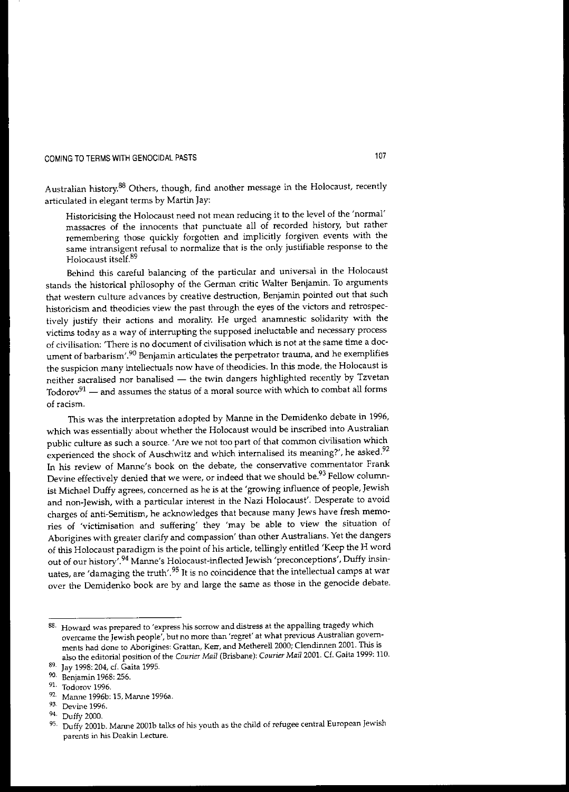Australian *history.BB* Others, though, find another message in the Holocaust, recently articulated in elegant terms by Martin Jay:

**Historicising the Holocaust need not mean reducing it to the level of the 'normal'** massacres of the innocents that punctuate all of recorded history, but rather remembering those quickly forgotten and implicitly forgiven events with the **same intransigent refusal to normalize that is the only justifiable response to the** Holocaust itself.<sup>89</sup>

Behind this careful balancing of the particular and universal in the Holocaust stands the historical philosophy of the German critic Waiter Benjamin. To arguments that western culture advances by creative destruction, Benjamin pointed out that such **historicism and theodicies view the past through the eyes of the victors and retrospec**tively justify their actions and morality. He urged anamnestic solidarity with the victims today as a way of interrupting the supposed ineluctable and necessary process **of civilisation: 'There is no document of civilisation which is not at the same time a document of barbarism'.90 Benjamin articulates the perpetrator trauma, and he exemplifies the suspicion many intellectuals now have of theodicies. In this mode, the Holocaust is** neither sacralised nor banalised - the twin dangers highlighted recently by Tzvetan **Todorov<sup>91</sup> \_ and assumes the status of a moral source with which to combat all forms of racism.**

This was the interpretation adopted by Manne in the Demidenko debate in 1996, **which was essentially about whether the Holocaust would be inscribed into Australian public culture as such a source. 'Are we not too part of that common civilisation which** experienced the shock of Auschwitz and which internalised its meaning?', he asked.<sup>92</sup> **In his review of Manne's book on the debate, the conservative commentator Frank** Devine effectively denied that we were, or indeed that we should be. $93$  Fellow columnist Michael Duffy agrees, concerned as he is at the'growing influence of people, Jewish **and non-Jewish, with a particular interest in the Nazi Holocaust', Desperate to avoid** charges of anti-Semitism, he acknowledges that because many Jews have fresh memo**ries of 'victimisation and suffering' they 'may be able to view the situation of** Aborigines with greater clarify and compassion' than other Australians. Yet the dangers of this Holocaust paradigm is the point of his article, tellingly entitled 'Keep the H word out of our history'.<sup>94</sup> Manne's Holocaust-inflected Jewish 'preconceptions', Duffy insinuates, are 'damaging the truth'.<sup>95</sup> It is no coincidence that the intellectual camps at war **over the Demic:ienko book are by and large the same as those in the genocide debate.**

**<sup>88.</sup> Howard was prepared to 'express his sorrow and distress at the appalling tragedy which overcame the Jewish people', but no more than 'regret' at what previous Australian governments had done to Aborigines: Grattan, Kerr, and Methere1l2000; Clendinnen 2001. This is also the editorial position of the** *Courier Mail* **(Brisbane):** *Courier Mail ZOOl.* **Cf. Gaita 1999: 110.**

<sup>89.</sup> Jay 1998: 204, cf. Gaita 1995.<br>90. Benjamin 1968: 256.

<sup>90.</sup> Benjamin 1968: 256.

**<sup>91.</sup> Todorov 1996.**

**<sup>92.</sup> Manne 1996b: 15, Manne 1996a.**

**<sup>93.</sup> Devine 1996.**

<sup>94</sup> Duffy 2000.

**<sup>95.</sup> Duffy 2001b. Manne** *ZOOlb* **talks of his youth as the child of refugee central European Jewish parents in his Deakin Lecture.**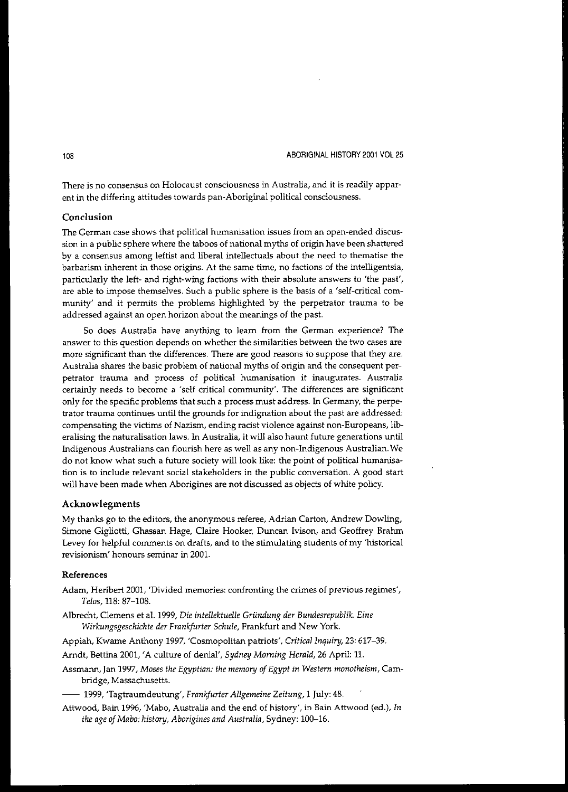**There is no consensus on Holocaust consciousness in Australia, and it is readily appar**ent in the differing attitudes towards pan-Aboriginal political consciousness.

#### **Conclusion**

**The German case shows that political humanisation issues from an open-ended discus**sion in a public sphere where the taboos of national myths of origin have been shattered by a consensus among leftist and liberal intellectuals about the need to thematise the **barbarism inherent in those origins. At the same time, no factions of the intelligentsia,** particularly the left- and right-wing factions with their absolute answers to 'the past', **aTe able to impose themselves. Such a public sphere is the basis of a 'self-critical com**munity' and it permits the problems highlighted by the perpetrator trauma to be **addressed against an open horizon about the meanings of the past.**

So does Australia have anything to learn from the German experience? The **answer to this question depends on whether the similarities between the two cases are more significant than the differences. There are good reasons to suppose that they are.** Australia shares the basic problem of national myths of origin and the consequent perpetrator trauma and process of political humanisation it inaugurates. Australia **certainly needs to become a 'self critical community'. The differences are significant** only for the specific problems that such a process must address. In Germany, the perpetrator trauma continues until the grounds for indignation about the past are addressed: **compensating the victims of Nazism, ending racist violence against non-Europeans, liberalising the naturalisation laws. In Australia, it will also haunt future generations until** Indigenous Australians can flourish here as well as any non-Indigenous Australian.We do not know what such a future society will look like: the point of political humanisa**tion is to include relevant social stakeholders in the public conversation. A good start** will have been made when Aborigines are not discussed as objects of white policy.

#### **Acknowlegments**

My thanks go to the editors, the anonymous referee, Adrian Carton, Andrew Dowling, Simone Gigliotti, Ghassan Hage, Claire Hooker, Duncan lvison, and Geoffrey Brahm Levey for helpful comments on drafts, and to the stimulating students of my 'historical **revisionism' honours seminar in 2001.**

#### **References**

- **Adam, Heribert 2001, 'Divided memories: confronting the crimes of previous regimes',** *Telos,* 118: 87-108.
- Albrecht, Clemens et al. 1999, *Die intellektuelle Griindung der Bundesrepublik. Eine Wirkungsgeschichte der Frankfurter Schule,* Frankfurt and New York.
- Appiah, Kwarne Anthony 1997, 'Cosmopolitan patriots', *Critical Inquiry,* 23: 617-39.
- Arndt, Bettina 2001, 'A culture of denial', *Sydney Morning Herald,* 26 April: 11.
- Assmann, Jan 1997, *Moses the Egyptian: the memory of Egypt in Western monotheism,* Cambridge, Massachusetts.
	- -- 1999, 'Tagtraumdeutung', *Frankfurter Allgemeine Zeitung,* <sup>1</sup> July: 48.
- Attwood, Bain 1996, 'Mabo, Australia and the end of history', in Bain Attwood (ed.), *In the age of Mabo: history, Aborigines and Australia,* Sydney: 100-16.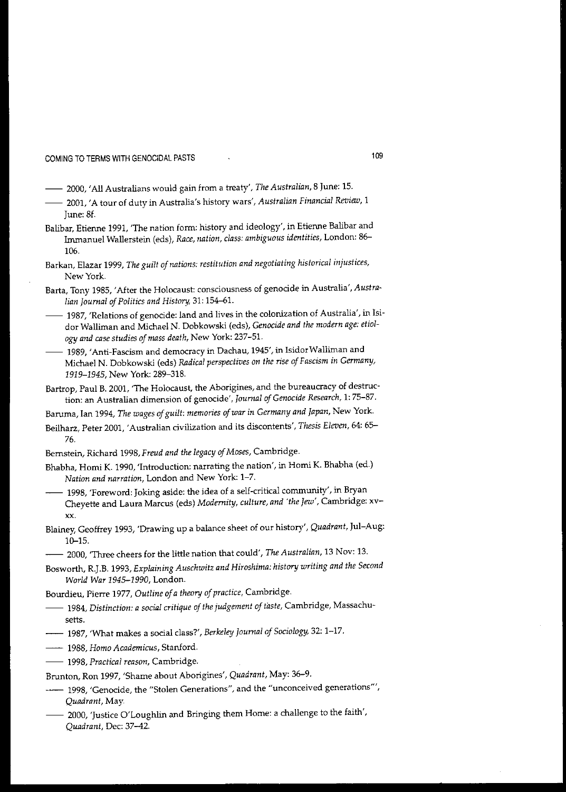-- 2000, 'All Australians would gain from <sup>a</sup> treaty', *The Australian,* <sup>8</sup> june: 15.

- -- 2001, 'A tour of duty in Australia's history wars', *Australian Financial Review,* <sup>1</sup> June: 8f.
- Balibar, Etienne 1991, The nation form: history and ideology', in Etienne Balibar and Immanuel Wallerstein (eds), *Race, nation, class: ambiguous identities,* London: 86- 106.
- Barkan, Elazar 1999, *The guilt ofnations: restitution and negotiating historical injustices,* New York.
- Barta, Tony 1985, 'After the Holocaust: consciousness of genocide in Australia', *Australian Journal of Politics and History*, 31: 154–61.
- 1987, 'Relations of genocide: land and lives in the colonization of Australia', in Isidor Walliman and Michael N. Dobkowski (eds), *Genocide and the modern age: etiology and case studies ofmass death,* New York: 237-5l.
- $-$  1989, 'Anti-Fascism and democracy in Dachau, 1945', in Isidor Walliman and Michael N. Dobkowski (eds) *Radical perspectives on the rise ofFascism in Germany,* 1919-1945, New York: 289-318.
- Bartrop, Paul B. 2001, 'The Holocaust, the Aborigines, and the bureaucracy of destruction: an Australian dimension of genocide', *Journal of Genocide Research,* 1: 75-87.
- Baruma, lan 1994, *The wages ofguilt: memories ofwar in Germany and Japan,* New York.
- Beilharz, Peter 2001, 'Australian civilization and its discontents', *Thesis Eleven,* 64: 65- 76.
- Bemstein, Richard 1998, *Freud and the legacy of*Moses, Cambridge.
- Bhabha, Homi K. 1990, 'Introduction: narrating the nation', in Homi K. Bhabha (ed.) *Nation and narration,* London and New York: 1-7.
- -- 1998, 'Foreword: Joking aside: the idea of <sup>a</sup> self-critical community', in Bryan Cheyette and Laura Marcus (eds) *Modernity, culture, and 'the Jew',* Cambridge: xvxx.
- Blainey, Geoffrey 1993, 'Drawing up a balance sheet of our history', *Quadrant,* jul-Aug:  $10 - 15.$
- -- 2000, 'Three cheers for the little nation that could', *The Australian,* <sup>13</sup> Nov: 13.
- Bosworth, R.j.B. 1993, *Explaining Auschwitz and Hiroshima: history writing and the Second World War 1945-1990,* London.
- Bourdieu, Pierre 1977, *Outline ofa theory of practice,* Cambridge.
- -- 1984, *Distinction: <sup>a</sup> social critique of the judgement of taste,* Cambridge, Massachusetts.
- -- 1987, 'What makes <sup>a</sup> social class?', *Berkeley Journal of Sociology,* 32: 1-17.
- -- 1988, *Homo Academicus,* Stanford.
- -- 1998, *Practical reason,* Cambridge.
- Brunton, Ron 1997, 'Shame about AbOrigines', *Quadrant,* May: 36-9.
- -- **1998, 'Genocide, the "Stolen Generations", and the "unconceived generations"',** *Quadrant,* May.
- -- 2000, 'Justice O'Loughlin and Bringing them Home: <sup>a</sup> challenge to the faith', *Quadrant,* Dee: 37-42.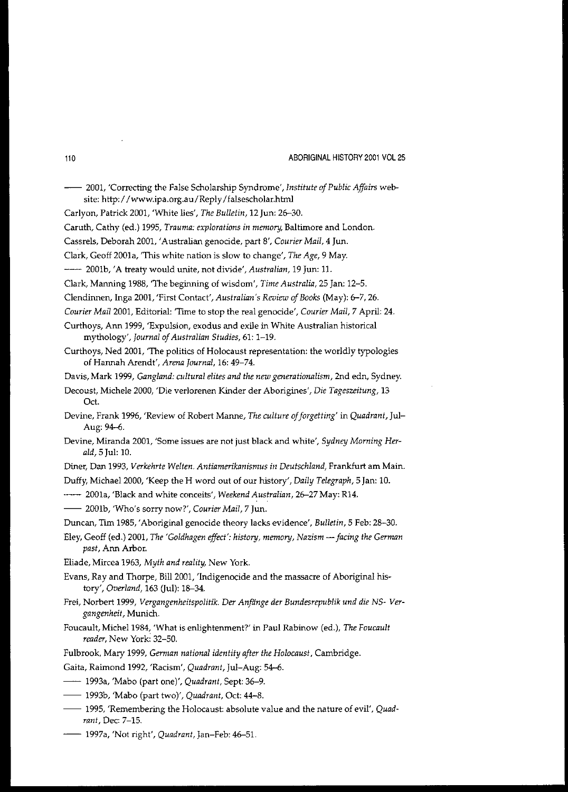- 2001, 'Correcting the False Scholarship Syndrome', *Institute of Public Affairs* website: http://www.ipa.org.au/Reply/falsescholar.html

Carlyon, Patrick 2001, 'White lies', *The Bulletin,* 12 Jun: 26-30.

Caruth, Cathy (ed.) 1995, *Trauma: explorations in memory,* Baltimore and London.

Cassrels, Deborah 2001, 'Australian genocide, part 8', *Courier Mail,* 4 Jun.

Clark, Geoff 2001a, 'This white nation is slow to change', *The Age,* 9 May.

-- 2001b, 'A treaty would unite, not divide', *Australian,* <sup>19</sup> Jun: ll.

Clark, Manning 1988, 'The beginning of wisdom', *Time Australia,* 25 Jan: 12-5.

Clendinnen, lnga 2001, 'First Contact', *Australian's Review ofBooks* (May): 6-7,26.

*Courier Mail* 2001, Editorial: 'TIme to stop the real genocide', *Courier Mail,* 7 April: 24.

Curthoys, Ann 1999, 'Expulsion, exodus and exile in White Australian historical mythology', *Journal of Australian Studies*, 61: 1-19.

Curthoys, Ned 2001, 'The politics of Holocaust representation: the worldly typologies of Hannah Arendt', *Arena Journal,* 16: 49-74.

Davis, Mark 1999, *Gangland: cultural elites and the new generationalism,* 2nd edn, Sydney.

Decoust, Michele 2000, 'Die verlorenen Kinder der Aborigines', *Die Tageszeitung, 13* Oct.

Devine, Frank 1996, 'Review of Robert Manne, *The culture offorgetting'* in *Quadrant,* Jul-Aug: 94-6.

Devine, Miranda 2001, 'Some issues are not just black and white', *Sydney Morning Herald,* 5 Jul: 10.

Diner, Dan 1993, *Verkehrte Welten. Antiamerikanismus in Deutschland,* Frankfurt am Main.

Duffy, Michae12000, 'Keep the H word out of our history', *Daily Telegraph,* 5 Jan: 10.

-- 2001a, 'Black and white conceits', *Weekend Australian,* 26-27 May: R14.

-- 2001b, 'Who's sorry now?', *Courier Mail,* <sup>7</sup> Jun.

Duncan, TIm 1985, 'Aboriginal genocide theory lacks evidence', *Bulletin,* 5 Feb: 28-30.

Eley, Geoff (ed.) 2001, *The 'Goldhagen effect': history, memory, Nazism -facing the German past,* Ann Arbor.

Eliade, Mircea 1963, *Myth and reality,* New York.

Evans, Ray and Thorpe, Bill 2001, 'Indigenocide and the massacre of Aboriginal history', *Overland*, 163 (Jul): 18-34.

- Frei, Norbert1999, *Vergangenheitspolitik. Der Anftinge der Bundesrepublik und die NS- Vergangenheit,* Munich.
- Foucault, MicheI1984, 'What is enlightenment?' in Paul Rabinow (ed.), *The Foucault reader,* New York: 32-50.

Fulbrook, Mary 1999, *German national identity after the Holocaust,* Cambridge.

Gaita, Raimond 1992, 'Racism', *Quadrant,* Jul-Aug: 54-6.

- -- 1993a, 'Mabo (part one)', Quadrant, Sept: 36-9.
- 1993b, 'Mabo (part two)', *Quadrant*, Oct: 44-8.
- -- 1995, 'Remembering the Holocaust: absolute value and the nature of evil', *Quadrant,* Dec: 7-15.
- -- 1997a, 'Not right', *Quadrant*, Jan-Feb: 46-51.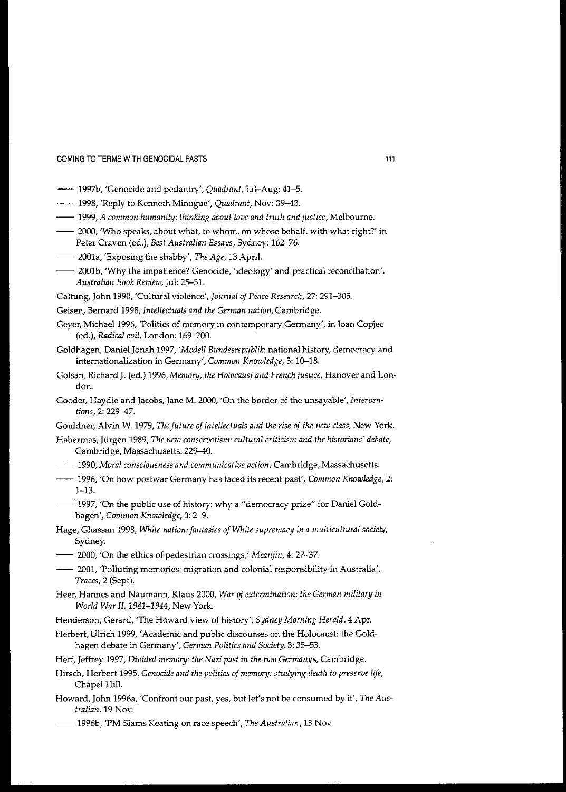- -- 1997b, 'Genocide and pedantry', *Quadrant,* Jul-Aug: 41-5.
- -- 1998, 'Reply to Kenneth Minogue', *Quadrant*, Nov: 39-43.
- -- 1999, *<sup>A</sup> common humanity: thinking about love and truth and justice,* Melbourne.
- -- 2000, 'Who speaks, about what, to whom, on whose behalf, with what right?' in Peter Craven (ed.), *Best Australian Essays,* Sydney: 162-76.
- -- 2001a, 'Exposing the shabby', *The Age,* <sup>13</sup> April.
- -- 2001b, 'Why the impatience? Genocide, 'ideology' and practical reconciliation', *Australian Book Review,* Jul: 25--3l.
- Galtung, John 1990, 'Cultural violence', *Journal of Peace Research*, 27: 291-305.
- Geisen, Bemard 1998, *Intellectuals and the German nation,* Cambridge.
- Geyer, Michael 1996, 'Politics of memory in contemporary Germany', in Joan Copjec (ed.), *Radical evil,* London: 169-200.
- Goldhagen, Daniel Jonah 1997, *'Modell Bundesrepublik:* national history, democracy and internationalization in Germany', *Common Knowledge,* 3: *1Q-18.*
- Golsan, Richard J. (ed.) *1996,Memory, the Holocaust and French justice,* Hanover and London.
- Gooder, Haydie and Jacobs, Jane M. 2000, 'On the border of the unsayable', *Interventions,* 2: 229-47.
- Gouldner, Alvin W. 1979, *The future ofintellectuals and the rise of the new class,* New York.
- Habermas, Jiirgen 1989, *The new conservatism: cultural criticism and the historians' debate,* Cambridge, Massachusetts: 229-40.
- -- 1990, *Moral consciousness and communicative action,* Cambridge, Massachusetts.
- -- 1996, 'On how postwar Germany has faced its recent past', *Common Knowledge, 2:* 1-13.
- --·1997, 'On the public use of history: why a "democracy prize" for Daniel Goldhagen', *Common Knowledge,* 3: 2-9.
- Hage, Ghassan 1998, *White nation:fantasies of White supremacy in a multicultural society,* Sydney.
- -- 2000, 'On the ethics of pedestrian crossings: *Meanjin,* 4: 27-37.
- 2001, 'Polluting memories: migration and colonial responsibility in Australia', *Traces,* 2 (Sept).
- Heer, Hannes and Naumann, Klaus 2000, *War ofextermination: the German military in World War* II, 1941-1944, New York.
- Henderson, Gerard, 'The Howard view of history', *Sydney Morning Herald,* 4 Apr.
- Herbert, Ulrich 1999, 'Academic and public discourses on the Holocaust: the Goldhagen debate in Germany', *German Politics and Society,* 3: 35-53.
- Herf, Jeffrey 1997, *Divided memory: the Nazi past in the two Germanys,* Cambridge.
- Hirsch, Herbert 1995, *Genocide and the politics of memory: studying death to preserve life,* Chapel Hill.
- **Howard, John 1996a, 'Confront our past, yes, but let's not be consumed by it',** *The Australian,* 19 Nov.
- -- 1996b, 'PM Slams Keating on race speech', *The Australian,* <sup>13</sup> Nov.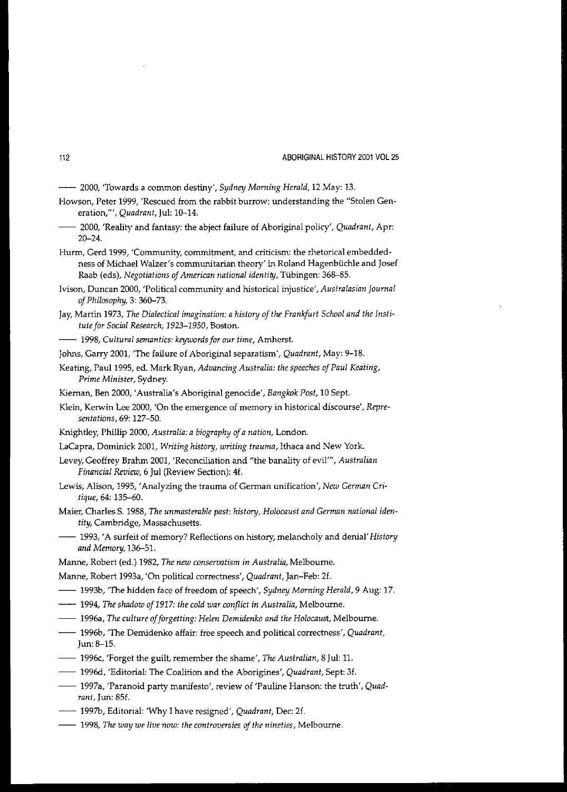-- 2000, 'Towards <sup>a</sup> common destiny', *Sydney Morning Herald,* <sup>12</sup> May: 13.

- Howson, Peter 1999, 'Rescued from the rabbit burrow: understanding the "Stolen Generation,"', *Quadrant,* Jul: 10-14.
- -- 2000, 'Reality and fantasy: the abject failure of Aboriginal policy', *Quadrant,* Apr: 20-24.
- **Hurm, Gerd 1999, 'Community, commitment, and criticism: the rhetorical embedded**ness of Michael Walzer's communitarian theory' in Roland Hagenbiichle and Josef Raab (eds), *Negotiations* of *American national identity*, Tübingen: 368-85.
- **Ivison, Duncan 2000, 'Political community and historical injustice',** *Australasian Journal ofPhilosophy,* 3: 360-73.
- Jay, Martin 1973, *The Dilllectical imagination: a history ofthe Frankfurt School and the Institutefor Socilll Research, 1923-1950,* Boston.
- -- 1998, *Cultural semantics: keywordsfor our time,* Amherst.
- Johns, Garry 2001, 'The failure of Aboriginal separatism', *Quadrant*, May: 9-18.
- Keating, Paul 1995, ed. Mark Ryan, *Advancing Australia: the speeches of Paul Keating*, *Prime Minister,* Sydney.
- Kiernan, Ben 2000, 'Australia's Aboriginal genocide', *Bangkok Post,* 10 Sept.
- Klein, Kerwin Lee 2000, 'On the emergence of memory in historical discourse', Repre*sentations,* 69: 127-50.
- Knightley, Phillip 2000, *Australia: a biography ofa nation,* London.
- LaCapra, Dominick 2001, *Writing history, writing trauma,* llhaca and New York.
- Levey, Geoffrey Brahm 2001, 'Reconciliation and "the banality of evil'", Australian *Financial Review,* 6 Jul (Review Section): 4f.
- Lewis, Alison, 1995, 'Analyzing the trauma of German unification', *New German Critique,* 64: 135-60.
- Maier, Charles S. 1988, *The unmasterable past: history, Holocaust and German national identity,* Cambridge, Massachusetts.
- -- 1993, 'A surfeit of memory? Reflections on history, melancholy and denial' *History and Memory, 136-51.*
- Manne, Robert (ed.) 1982, *The new conservatism* in *Australia,* Melbourne.
- Manne, Robert1993a, 'On political correctness', *Quadrant,* Jan-Feb: 2f.
- -- 1993b, 'The hidden face of freedom of speech', *Sydney Morning Herald,* <sup>9</sup> Aug: 17.
- ---- 1994, The shadow of 1917: the cold war conflict in Australia, Melbourne.
- $-$  1996a, *The culture of forgetting: Helen Demidenko and the Holocaust, Melbourne.*
- -- 1996b, 'The Demidenko affair: free speech and political correctness', *Quadrant,* Jun: &-15.
- -- 1996c, 'Forget the guilt, remember the shame', *The Australian*, 8 Jul: 11.
- -- 1996d, 'Editorial: The Coalition and the Aborigines', Quadrant, Sept: 3f.
- $-$  1997a, 'Paranoid party manifesto', review of 'Pauline Hanson: the truth', Quad*rant,* Jun: 85£.
- 1997b, Editorial: 'Why I have resigned', *Quadrant*, Dec: 2f.
- -- **1998,** *The way we live now: the controversies ofthe nineties,* **Melbourne.**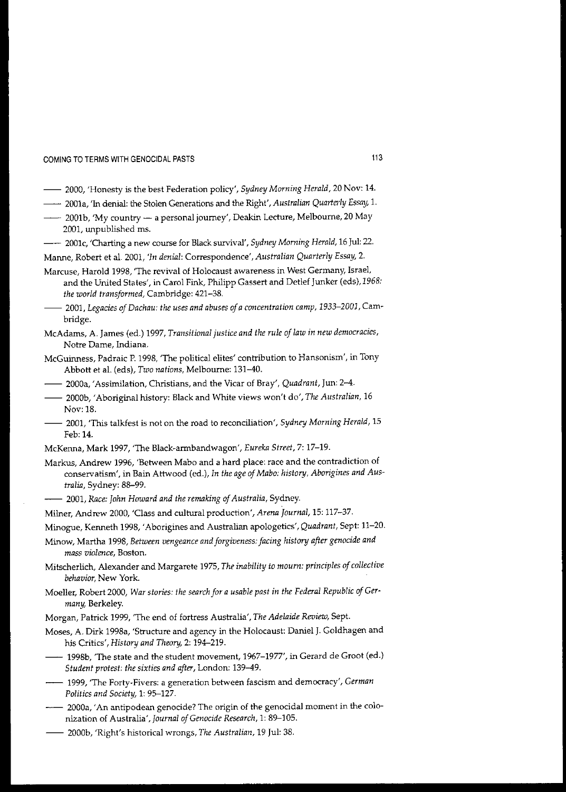- -- 2000, 'Honesty is the best Federation policy', *Sydney Morning Herald,* <sup>20</sup> Nov: 14.
- -- 2001a, 'In denial: the Stolen Generations and the Right', *Australian Quarterly Essay,* 1.
- -- 2001b, 'My country -- a personal journey', Deakin Lecture, Melbourne, 20 May 2001, unpublished ms.
- -- 2001c, 'Charting <sup>a</sup> new course for Black survival', *Sydney Morning Herald,* <sup>16</sup> Jul: 22.

Manne, Robert et a1. 2001, *'In denial:* Correspondence', *Australian Quarterly Essay, 2.*

- **Marcus€,Harold 1998, 'The revival of Holocaust awareness in West Germany, Israel,** and the United States', in Carol Fink, Philipp Gassert and Dellef Junker (eds),1968: *the world transformed,* Cambridge: 421-38.
- -- 2001, *Legacies ofDachau: the uses and abuses ofa concentration camp, 1933-2001,* Cambridge.
- McAdams, A. James (ed.) 1997, *Transitional justice and the rule of law in new democracies,* **Notre Dame, Indiana.**
- McGuinness, Padraic P. 1998, 'The political elites' contribution to Hansonism', in Tony Abbot! et a1. (eds), *Two nations,* Melbourne: 131-40.
- -- 2000a, 'Assimilation, Christians, and the Vicar of Bray', *Quadrant,* Jun: 2-4.
- -- 20DOb, 'Aboriginal history: Black and White views won't do', *The Australian, <sup>16</sup>* Nov: 18.
- -- 2001, 'This talkfest is not on the road to reconciliation', *Sydney Morning Herald, <sup>15</sup>* Feb: 14.
- McKenna, Mark 1997, 'The Black-arrnbandwagon', *Eurekn Street,* 7: 17-19.
- Markus, Andrew 1996, 'Between Mabo and a hard place: race and the contradiction of conservatism', in Bain Attwood (ed.), *In the age ofMabo: history, Aborigines and Australia,* Sydney: 88-99.
- -- 2001, *Race: John Howard and the remaking ofAustralia,* Sydney.
- Milner, Andrew 2000, 'Class and cultural production', *Arena Journal,* 15: 117-37.
- Minogue, Kenneth 1998, 'Aborigines and Australian apologetics', *Quadrant,* Sept: 11-20.
- Minow, Martha 1998, *Between vengeance and forgiveness: facing history after genocide and mass violence,* **Boston.**
- Mitscherlich, Alexander and Margarete 1975, *The inability to mourn: principles of collective behavior,* **New York.**
- Moeller, Robert 2000, *War stories: the search for a usable past in the Federal Republic ofGermany,* Berkeley.
- Morgan, Palrick 1999, 'The end of fortress Australia', *The Adelaide Review,* Sept.
- Moses, A. Dirk 1998a, 'Structure and agency in the Holocaust: Daniel J. Goldhagen and his Critics', *History and Theory,* 2: 194-219.
- $-$  1998b, 'The state and the student movement, 1967–1977', in Gerard de Groot (ed.) *Student protest: the sixties and after,* London: 139-49.
- -- **1999, 'The Forty-Fivers: <sup>a</sup> generation between fascism and democracy',** *German Politics and Society,* 1: 95-127.
- -- **2000a, <sup>I</sup> An antipodean genocide? The origin of the genocidal moment in the colo**nization of Australia', *Journal of Genocide Research,* 1: 89-105.
- -- 2000b, 'Right's historical wrongs, *The Australian,* <sup>19</sup> *Jul: 38.*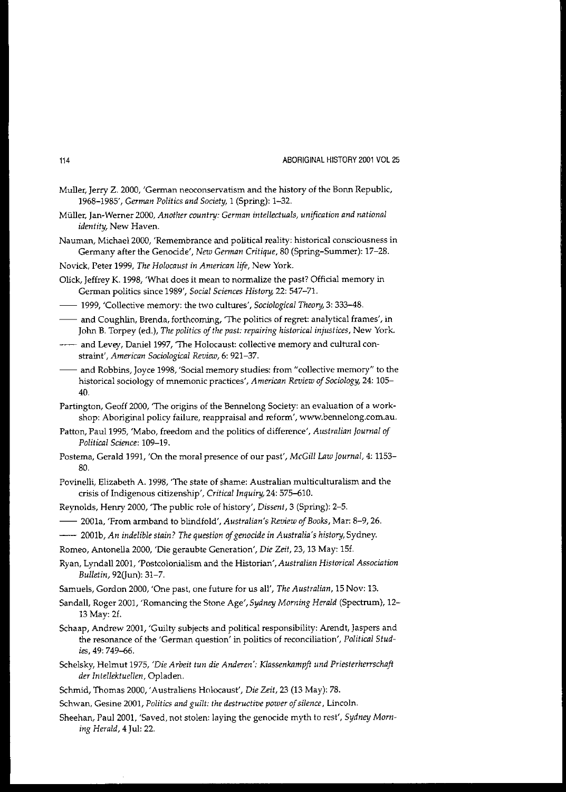- Muller, Jerry Z. 2000, 'German neoconservatism and the history of the Bonn Republic, *1968-1985', German Politics and Society,* 1 (Spring): 1-32.
- **Muller, Jan-Wemer 2000,** *Another country: German intellectuals, unification and national identity,* **New Haven.**
- **Nauman, Michae12000, 'Remembrance and political reality: historical consciousness in** Germany after the Genocide', *New German Critique,* 80 (Spring-Summer): 17-28.
- Novick, Peter 1999, *The Holocaust in American life,* New York.
- Olick, Jeffrey K. 1998, 'What does it mean to normalize the past? Official memory in German politics since 1989', *Social Sciences History,* 22: 547-71.
- -- 1999, 'Collective memory: the two cultures', *Sociological Theory,* 3: 333-48.
- $-$  and Coughlin, Brenda, forthcoming, 'The politics of regret: analytical frames', in John B. Torpey (ed.), *The politics of the past: repairing historical injustices*, New York.
- -- and Levey, Daniel 1997, 'The Holocaust: collective memory and cultural constraint', *American Sociological Review,* 6: 921-37.
- -- and Robbins, Joyce 1998, 'Social memory studies: from "collective memory" to the historical sociology of mnemonic practices', *American Review of Sociology,* 24: 105- 40.
- Partington, Geoff 2000, 'The origins of the Bennelong Society: an evaluation of a workshop: Aboriginal policy failure, reappraisal and reform', www.bennelong.com.au.
- Patton, Paul 1995, 'Mabo, freedom and the politics of difference', *Australian Journal of Political Science: 109-19.*
- Postema, Gerald 1991, 'On the moral presence of our past', *McGill Law Journal,* 4: 1153- 80.
- Povinelli, Elizabeth A. 1998, 'The state of shame: Australian multiculturalism and the crisis of Indigenous citizenship', *Critical Inquiry,* 24: 575-610.
- Reynolds, Henry 2000, 'The public role of history', *Dissent,* 3 (Spring): 2-5.
- -- 2001a, 'From armband to blindfold', *Australian's Review ofBooks,* Mar: 8-9,26.
- -- 2001b, *An indelible stain? The question ofgenocide in Australia's history,* Sydney.
- Romeo, Antonella 2000, 'Die geraubte Generation', *Die Zeit,* 23, 13 May: 15f.
- Ryan, Lynda1l2001, 'Postcolonialism and the *Historian',Australian Historical Association Bulletin*, 92(Jun): 31-7.
- Samuels, Gordon 2000, 'One past, one future for us all', *The Australian,* 15 Nov: 13.
- Sandall, Roger 2001, 'Romancing the Stone Age', *Sydney Morning Herald* (Spectrum), 12- 13 May: 2f.
- Schaap, Andrew 2001, 'Guilty subjects and political responsibility: Arendt, Jaspers and **the resonance of the 'German question' in politics of reconciliation',** *Political Studies,* 49: 749-66.
- Schelsky, Helmut 1975, *'Die Arbeit tun die Anderen': Klassenkampjt und Priesterherrschajt der Intellektuellen,* Opladen.
- Schmid, Thomas 2000, 'Australiens Holocaust', *Die Zeit,* 23 (13 May): 78.
- **Schwan, Gesine 2001,** *Politics and guilt: the destructive power ofsilence* **<sup>I</sup> Lincoln.**
- Sheehan, Paul 2001, 'Saved, not stolen: laying the genocide myth to rest', *Sydney Morning Herald,* 4 Jul: 22.